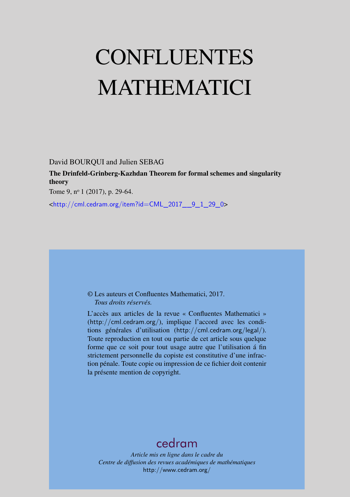# CONFLUENTES MATHEMATICI

David BOURQUI and Julien SEBAG

The Drinfeld-Grinberg-Kazhdan Theorem for formal schemes and singularity theory

Tome 9, nº 1 (2017), p. 29-64.

<[http://cml.cedram.org/item?id=CML\\_2017\\_\\_9\\_1\\_29\\_0](http://cml.cedram.org/item?id=CML_2017__9_1_29_0)>

© Les auteurs et Confluentes Mathematici, 2017. *Tous droits réservés.*

L'accès aux articles de la revue « Confluentes Mathematici » (<http://cml.cedram.org/>), implique l'accord avec les conditions générales d'utilisation (<http://cml.cedram.org/legal/>). Toute reproduction en tout ou partie de cet article sous quelque forme que ce soit pour tout usage autre que l'utilisation á fin strictement personnelle du copiste est constitutive d'une infraction pénale. Toute copie ou impression de ce fichier doit contenir la présente mention de copyright.

# [cedram](http://www.cedram.org/)

*Article mis en ligne dans le cadre du Centre de diffusion des revues académiques de mathématiques* <http://www.cedram.org/>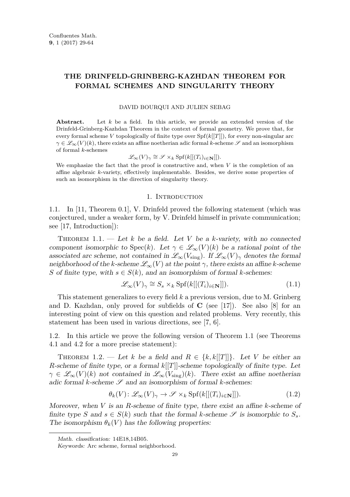# **THE DRINFELD-GRINBERG-KAZHDAN THEOREM FOR FORMAL SCHEMES AND SINGULARITY THEORY**

#### DAVID BOURQUI AND JULIEN SEBAG

**Abstract.** Let *k* be a field. In this article, we provide an extended version of the Drinfeld-Grinberg-Kazhdan Theorem in the context of formal geometry. We prove that, for every formal scheme *V* topologically of finite type over Spf(*k*[[*T*]]), for every non-singular arc  $\gamma \in \mathscr{L}_{\infty}(V)(k)$ , there exists an affine noetherian adic formal *k*-scheme  $\mathscr{S}$  and an isomorphism of formal *k*-schemes

$$
\mathcal{L}_{\infty}(V)_{\gamma} \cong \mathcal{S} \times_k \text{Spf}(k[[(T_i)_{i \in \mathbf{N}}]]).
$$

We emphasize the fact that the proof is constructive and, when *V* is the completion of an affine algebraic *k*-variety, effectively implementable. Besides, we derive some properties of such an isomorphism in the direction of singularity theory.

#### 1. INTRODUCTION

1.1. In [\[11,](#page-35-0) Theorem 0.1], V. Drinfeld proved the following statement (which was conjectured, under a weaker form, by V. Drinfeld himself in private communication; see [\[17,](#page-35-1) Introduction]):

<span id="page-1-0"></span>Theorem 1.1. — Let *k* be a field. Let *V* be a *k*-variety, with no connected component isomorphic to Spec $(k)$ . Let  $\gamma \in \mathscr{L}_{\infty}(V)(k)$  be a rational point of the associated arc scheme, not contained in  $\mathscr{L}_{\infty}(V_{\text{sing}})$ . If  $\mathscr{L}_{\infty}(V)_{\gamma}$  denotes the formal neighborhood of the *k*-scheme  $\mathscr{L}_{\infty}(V)$  at the point  $\gamma$ , there exists an affine *k*-scheme *S* of finite type, with  $s \in S(k)$ , and an isomorphism of formal *k*-schemes:

<span id="page-1-3"></span>
$$
\mathcal{L}_{\infty}(V)_{\gamma} \cong S_s \times_k \text{Spf}(k[[(T_i)_{i \in \mathbf{N}}]]). \tag{1.1}
$$

This statement generalizes to every field *k* a previous version, due to M. Grinberg and D. Kazhdan, only proved for subfields of **C** (see [\[17\]](#page-35-1)). See also [\[8\]](#page-35-2) for an interesting point of view on this question and related problems. Very recently, this statement has been used in various directions, see [\[7,](#page-35-3) [6\]](#page-35-4).

1.2. In this article we prove the following version of Theorem [1.1](#page-1-0) (see Theorems [4.1](#page-13-0) and [4.2](#page-14-0) for a more precise statement):

<span id="page-1-1"></span>THEOREM 1.2. — Let *k* be a field and  $R \in \{k, k[[T]]\}$ . Let *V* be either an *R*-scheme of finite type, or a formal *k*[[*T*]]-scheme topologically of finite type. Let  $\gamma \in \mathscr{L}_{\infty}(V)(k)$  not contained in  $\mathscr{L}_{\infty}(V_{\text{sing}})(k)$ . There exist an affine noetherian adic formal  $k$ -scheme  $\mathscr S$  and an isomorphism of formal  $k$ -schemes:

<span id="page-1-2"></span>
$$
\theta_k(V): \mathcal{L}_{\infty}(V)_\gamma \to \mathcal{S} \times_k \text{Spf}(k[[(T_i)_{i \in \mathbf{N}}]]). \tag{1.2}
$$

Moreover, when *V* is an *R*-scheme of finite type, there exist an affine *k*-scheme of finite type *S* and  $s \in S(k)$  such that the formal *k*-scheme *S* is isomorphic to  $S_s$ . The isomorphism  $\theta_k(V)$  has the following properties:

Math. classification: 14E18,14B05.

Keywords: Arc scheme, formal neighborhood.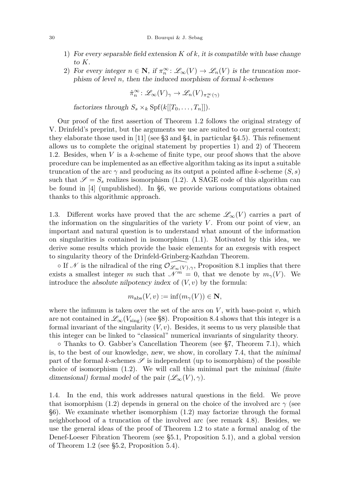- 1) For every separable field extension *K* of *k*, it is compatible with base change to *K*.
- 2) For every integer  $n \in \mathbb{N}$ , if  $\pi_n^{\infty}$ :  $\mathscr{L}_{\infty}(V) \to \mathscr{L}_n(V)$  is the truncation morphism of level *n*, then the induced morphism of formal *k*-schemes

$$
\hat{\pi}_{n}^{\infty} \colon \mathscr{L}_{\infty}(V)_{\gamma} \to \mathscr{L}_{n}(V)_{\pi_{n}^{\infty}(\gamma)}
$$

factorizes through  $S_s \times_k \text{Spf}(k[[T_0, \ldots, T_n]])$ .

Our proof of the first assertion of Theorem [1.2](#page-1-1) follows the original strategy of V. Drinfeld's preprint, but the arguments we use are suited to our general context; they elaborate those used in [\[11\]](#page-35-0) (see [§3](#page-11-0) and [§4,](#page-13-1) in particular [§4.5\)](#page-19-0). This refinement allows us to complete the original statement by properties 1) and 2) of Theorem [1.2.](#page-1-1) Besides, when *V* is a *k*-scheme of finite type, our proof shows that the above procedure can be implemented as an effective algorithm taking as its input a suitable truncation of the arc  $\gamma$  and producing as its output a pointed affine *k*-scheme  $(S, s)$ such that  $\mathscr{S} = S_s$  realizes isomorphism [\(1.2\)](#page-1-2). A SAGE code of this algorithm can be found in [\[4\]](#page-35-5) (unpublished). In [§6,](#page-28-0) we provide various computations obtained thanks to this algorithmic approach.

1.3. Different works have proved that the arc scheme  $\mathscr{L}_{\infty}(V)$  carries a part of the information on the singularities of the variety *V* . From our point of view, an important and natural question is to understand what amount of the information on singularities is contained in isomorphism [\(1.1\)](#page-1-3). Motivated by this idea, we derive some results which provide the basic elements for an exegesis with respect to singularity theory of the Drinfeld-Grinberg-Kazhdan Theorem.

 $\circ$  If N is the nilradical of the ring  $\mathcal{O}_{\mathscr{L}_{\infty}(V),\gamma}$ , Proposition [8.1](#page-33-0) implies that there exists a smallest integer *m* such that  $\mathcal{N}^m = 0$ , that we denote by  $m_\gamma(V)$ . We introduce the *absolute nilpotency index* of  $(V, v)$  by the formula:

$$
m_{\rm abs}(V, v) := \inf(m_{\gamma}(V)) \in \mathbf{N},
$$

where the infimum is taken over the set of the arcs on  $V$ , with base-point  $v$ , which are not contained in  $\mathscr{L}_{\infty}(V_{sing})$  (see [§8\)](#page-32-0). Proposition [8.4](#page-34-0) shows that this integer is a formal invariant of the singularity  $(V, v)$ . Besides, it seems to us very plausible that this integer can be linked to "classical" numerical invariants of singularity theory.

◦ Thanks to O. Gabber's Cancellation Theorem (see [§7,](#page-30-0) Theorem [7.1\)](#page-30-1), which is, to the best of our knowledge, new, we show, in corollary [7.4,](#page-32-1) that the minimal part of the formal *k*-schemes  $\mathscr S$  is independent (up to isomorphism) of the possible choice of isomorphism  $(1.2)$ . We will call this minimal part the minimal *(finite)* dimensional) formal model of the pair  $(\mathscr{L}_{\infty}(V), \gamma)$ .

1.4. In the end, this work addresses natural questions in the field. We prove that isomorphism [\(1.2\)](#page-1-2) depends in general on the choice of the involved arc  $\gamma$  (see [§6\)](#page-28-0). We examinate whether isomorphism [\(1.2\)](#page-1-2) may factorize through the formal neighborhood of a truncation of the involved arc (see remark [4.8\)](#page-15-0). Besides, we use the general ideas of the proof of Theorem [1.2](#page-1-1) to state a formal analog of the Denef-Loeser Fibration Theorem (see [§5.1,](#page-25-0) Proposition [5.1\)](#page-25-1), and a global version of Theorem [1.2](#page-1-1) (see [§5.2,](#page-27-0) Proposition [5.4\)](#page-27-1).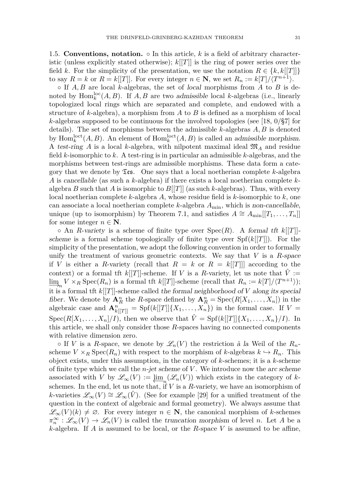<span id="page-3-0"></span>1.5. **Conventions, notation.**  $\circ$  In this article, k is a field of arbitrary characteristic (unless explicitly stated otherwise); *k*[[*T*]] is the ring of power series over the field *k*. For the simplicity of the presentation, we use the notation  $R \in \{k, k[[T]]\}$ to say  $R = k$  or  $R = k[[T]]$ . For every integer  $n \in \mathbb{N}$ , we set  $R_n := k[T]/\langle T^{n+1} \rangle$ .

◦ If *A, B* are local *k*-algebras, the set of local morphisms from *A* to *B* is denoted by  $\text{Hom}_k^{\text{loc}}(A, B)$ . If  $A, B$  are two admissible local *k*-algebras (i.e., linearly topologized local rings which are separated and complete, and endowed with a structure of *k*-algebra), a morphism from *A* to *B* is defined as a morphism of local *k*-algebras supposed to be continuous for the involved topologies (see [\[18,](#page-35-6) 0/§7] for details). The set of morphisms between the admissible *k*-algebras *A, B* is denoted by  $\text{Hom}_k^{\text{loct}}(A, B)$ . An element of  $\text{Hom}_k^{\text{loct}}(A, B)$  is called an admissible morphism. A test-ring A is a local *k*-algebra, with nilpotent maximal ideal  $\mathfrak{M}_A$  and residue field *k*-isomorphic to *k*. A test-ring is in particular an admissible *k*-algebras, and the morphisms between test-rings are admissible morphisms. These data form a category that we denote by  $\mathfrak{Ts}$ . One says that a local noetherian complete *k*-algebra *A* is cancellable (as such a *k*-algebra) if there exists a local noetherian complete *k*algebra *B* such that *A* is isomorphic to  $B[[T]]$  (as such *k*-algebras). Thus, with every local noetherian complete *k*-algebra *A*, whose residue field is *k*-isomorphic to *k*, one can associate a local noetherian complete *k*-algebra *A*min, which is non-cancellable, unique (up to isomorphism) by Theorem [7.1,](#page-30-1) and satisfies  $A \cong A_{\min}[[T_1,\ldots,T_n]]$ for some integer  $n \in \mathbb{N}$ .

◦ An *R*-variety is a scheme of finite type over Spec(*R*). A formal tft *k*[[*T*]] scheme is a formal scheme topologically of finite type over  $Spf(k[[T]])$ . For the simplicity of the presentation, we adopt the following convention in order to formally unify the treatment of various geometric contexts. We say that *V* is a *R*-space if *V* is either a *R*-variety (recall that  $R = k$  or  $R = k[[T]]$ ] according to the context) or a formal tft  $k[[T]]$ -scheme. If  $V$  is a  $R$ -variety, let us note that  $\hat{V} :=$  $\lim_{m \to \infty} V \times_R \text{Spec}(R_n)$  is a formal tft  $k[[T]]$ -scheme (recall that  $R_n := k[T]/\langle T^{n+1} \rangle$ ); it is a formal tft *k*[[*T*]]-scheme called the formal neighborhood of *V* along its special fiber. We denote by  $\mathbf{A}_R^n$  the *R*-space defined by  $\mathbf{A}_R^n = \text{Spec}(R[X_1, \ldots, X_n])$  in the algebraic case and  $\mathbf{A}_{k[[T]]}^n = \text{Spf}(k[[T]]\{X_1, \ldots, X_n\})$  in the formal case. If  $V =$ Spec( $R[X_1, \ldots, X_n]/I$ ), then we observe that  $\hat{V} = \text{Spf}(k[[T]]\{X_1, \ldots, X_n\}/I)$ . In this article, we shall only consider those *R*-spaces having no connected components with relative dimension zero.

 $\circ$  If *V* is a *R*-space, we denote by  $\mathscr{L}_n(V)$  the restriction à la Weil of the  $R_n$ scheme  $V \times_R \text{Spec}(R_n)$  with respect to the morphism of *k*-algebras  $k \hookrightarrow R_n$ . This object exists, under this assumption, in the category of *k*-schemes; it is a *k*-scheme of finite type which we call the *n*-jet scheme of *V* . We introduce now the arc scheme associated with *V* by  $\mathscr{L}_{\infty}(V) := \varprojlim_{n} (\mathscr{L}_{n}(V))$  which exists in the category of *k*schemes. In the end, let us note that, if  $V$  is a  $R$ -variety, we have an isomorphism of *k*-varieties  $\mathscr{L}_{\infty}(V) \cong \mathscr{L}_{\infty}(\hat{V})$ . (See for example [\[29\]](#page-35-7) for a unified treatment of the question in the context of algebraic and formal geometry). We always assume that  $\mathscr{L}_{\infty}(V)(k) \neq \emptyset$ . For every integer *n* ∈ **N**, the canonical morphism of *k*-schemes  $\pi_n^{\infty} : \mathscr{L}_{\infty}(V) \to \mathscr{L}_n(V)$  is called the truncation morphism of level *n*. Let *A* be a *k*-algebra. If *A* is assumed to be local, or the *R*-space *V* is assumed to be affine,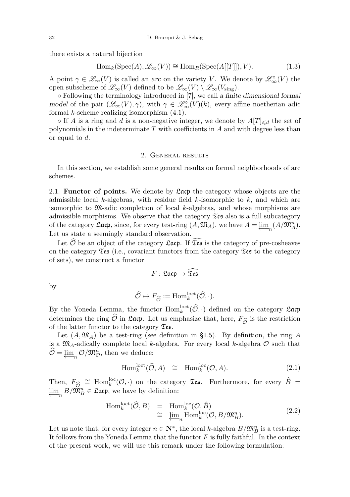there exists a natural bijection

$$
\text{Hom}_k(\text{Spec}(A), \mathcal{L}_{\infty}(V)) \cong \text{Hom}_R(\text{Spec}(A[[T]]), V). \tag{1.3}
$$

A point  $\gamma \in \mathscr{L}_\infty(V)$  is called an arc on the variety *V*. We denote by  $\mathscr{L}_\infty^{\circ}(V)$  the open subscheme of  $\mathscr{L}_{\infty}(V)$  defined to be  $\mathscr{L}_{\infty}(V) \setminus \mathscr{L}_{\infty}(V_{\text{sing}})$ .

◦ Following the terminology introduced in [\[7\]](#page-35-3), we call a finite dimensional formal model of the pair  $(\mathscr{L}_{\infty}(V), \gamma)$ , with  $\gamma \in \mathscr{L}_{\infty}^{\circ}(V)(k)$ , every affine noetherian adic formal *k*-scheme realizing isomorphism [\(4.1\)](#page-13-2).

• If *A* is a ring and *d* is a non-negative integer, we denote by  $A[T]_{\le d}$  the set of polynomials in the indeterminate *T* with coefficients in *A* and with degree less than or equal to *d*.

#### 2. General results

In this section, we establish some general results on formal neighborhoods of arc schemes.

<span id="page-4-0"></span>2.1. **Functor of points.** We denote by Lacp the category whose objects are the admissible local *k*-algebras, with residue field *k*-isomorphic to *k*, and which are isomorphic to M-adic completion of local *k*-algebras, and whose morphisms are admissible morphisms. We observe that the category  $\mathfrak{I}\mathfrak{es}$  also is a full subcategory of the category  $\mathfrak{L}$ **acp**, since, for every test-ring  $(A, \mathfrak{M}_A)$ , we have  $A = \underbrace{\lim}_{n} (A/\mathfrak{M}_A^n)$ . Let us state a seemingly standard observation.

Let  $\widehat{\mathcal{O}}$  be an object of the category  $\mathfrak{L}$ **acp.** If  $\widehat{\mathfrak{Z}}$ **es** is the category of pre-cosheaves on the category  $\mathfrak{I}\mathfrak{es}$  (i.e., covariant functors from the category  $\mathfrak{I}\mathfrak{es}$  to the category of sets), we construct a functor

$$
F:\mathfrak{Lacp}\to\widetilde{\mathfrak{Des}}
$$

by

$$
\widehat{\mathcal{O}} \mapsto F_{\widehat{\mathcal{O}}} := \mathrm{Hom}_k^{\mathrm{loct}}(\widehat{\mathcal{O}}, \cdot).
$$

 $\mathcal{O} \mapsto F_{\widehat{\mathcal{O}}} := \text{Hom}_k^{\text{loct}}(\mathcal{O}, \cdot).$ <br>By the Yoneda Lemma, the functor  $\text{Hom}_k^{\text{loct}}(\widehat{\mathcal{O}}, \cdot)$  defined on the category  $\mathfrak{L}$ **acp** determines the ring  $\mathcal O$  in  $\mathfrak{L}$ **acp.** Let us emphasize that, here,  $F_{\widehat{\mathcal{O}}}$  is the restriction of the latter functor to the category  $\mathfrak{T}$ **es**. of the latter functor to the category  $\mathfrak{Des}.$ 

Let  $(A, \mathfrak{M}_A)$  be a test-ring (see definition in [§1.5\)](#page-3-0). By definition, the ring A is a  $\mathfrak{M}_A$ -adically complete local  $k$ -algebra. For every local  $k$ -algebra  $\mathcal O$  such that  $\widehat{\mathcal{O}} = \underleftarrow{\lim}_{n} \mathcal{O}/\mathfrak{M}_{\mathcal{O}}^{n}$ , then we deduce:

$$
\text{Hom}_{k}^{\text{loct}}(\widehat{\mathcal{O}}, A) \cong \text{Hom}_{k}^{\text{loc}}(\mathcal{O}, A). \tag{2.1}
$$

Then,  $F_{\widehat{\mathcal{O}}} \cong \text{Hom}_k^{\text{loc}}(\mathcal{O}, \cdot)$  on the category  $\mathfrak{I}$ **es.** Furthermore, for every  $\widehat{B} = \lim_{n \to \infty} B/\mathfrak{M}_n^n \in \mathfrak{L}$ **act**, we have by definition:  $\varprojlim_n B/\mathfrak{M}_B^n \in \mathfrak{L}$ acp, we have by definition:

$$
\text{Hom}_{k}^{\text{loct}}(\widehat{\mathcal{O}},B) = \text{Hom}_{k}^{\text{loc}}(\mathcal{O},\widehat{B})
$$
  
\n
$$
\cong \underline{\lim}_{n} \text{Hom}_{k}^{\text{loc}}(\mathcal{O},B/\mathfrak{M}_{B}^{n}).
$$
\n(2.2)

Let us note that, for every integer  $n \in \mathbb{N}^*$ , the local *k*-algebra  $B/\mathfrak{M}_B^n$  is a test-ring. It follows from the Yoneda Lemma that the functor *F* is fully faithful. In the context of the present work, we will use this remark under the following formulation: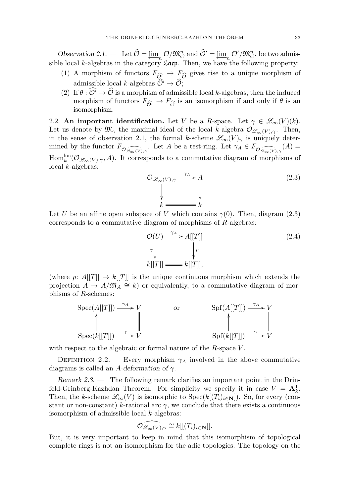<span id="page-5-0"></span>Observation 2.1. — Let  $\mathcal{O} = \varprojlim_n \mathcal{O}/\mathfrak{M}_{\mathcal{O}}^n$  and  $\mathcal{O}' = \varprojlim_n \mathcal{O}'/\mathfrak{M}_{\mathcal{O}}^n$  be two admissible local *k*-algebras in the category  $\mathcal{L}$  acp. Then, we have the following property:

- (1) A morphism of functors  $F_{\widehat{\mathcal{O}}'} \to F_{\widehat{\mathcal{O}}}$  gives rise to a unique morphism of admissible local *k*-algebras  $\widehat{\mathcal{O}}' \to \widehat{\mathcal{O}}$ . admissible local *k*-algebras  $\widehat{\mathcal{O}}' \to \widehat{\mathcal{O}};$
- (2) If  $\theta : \widehat{O'} \to \widehat{O}$  is a morphism of admissible local *k*-algebras, then the induced morphism of functors  $F_{\hat{\mathcal{O}}'} \to F_{\hat{\mathcal{O}}}$  is an isomorphism if and only if  $\theta$  is an isomorphism. isomorphism.

<span id="page-5-2"></span>2.2. **An important identification.** Let *V* be a *R*-space. Let  $\gamma \in \mathscr{L}_{\infty}(V)(k)$ . Let us denote by  $\mathfrak{M}_{\gamma}$  the maximal ideal of the local *k*-algebra  $\mathcal{O}_{\mathscr{L}_{\infty}(V),\gamma}$ . Then, in the sense of observation [2.1,](#page-5-0) the formal *k*-scheme  $\mathscr{L}_{\infty}(V)_{\gamma}$  is uniquely determined by the functor  $F_{\mathcal{O}_{\mathscr{L}_{\infty}(V),\gamma}}$ . Let *A* be a test-ring. Let  $\gamma_A \in F_{\mathcal{O}_{\mathscr{L}_{\infty}(V),\gamma}}(A)$  $\text{Hom}_k^{\text{loc}}(\mathcal{O}_{\mathscr{L}_{\infty}(V),\gamma},A)$ . It corresponds to a commutative diagram of morphisms of local *k*-algebras:

<span id="page-5-1"></span>
$$
\mathcal{O}_{\mathcal{L}_{\infty}(V), \gamma} \xrightarrow{\gamma_A} A
$$
\n
$$
\downarrow \qquad \qquad \downarrow
$$
\n
$$
k \xrightarrow{\gamma_A} k
$$
\n(2.3)

Let *U* be an affine open subspace of *V* which contains  $\gamma(0)$ . Then, diagram [\(2.3\)](#page-5-1) corresponds to a commutative diagram of morphisms of *R*-algebras:

$$
\mathcal{O}(U) \xrightarrow{\gamma_A} A[[T]]
$$
\n
$$
\gamma \downarrow \qquad \qquad \downarrow p
$$
\n
$$
k[[T]] \xrightarrow{\qquad \qquad \downarrow p} k[[T]],
$$
\n(2.4)

(where  $p: A[[T]] \to k[[T]]$  is the unique continuous morphism which extends the projection  $\overrightarrow{A} \to \overrightarrow{A}/\mathfrak{M}_A \cong k$ ) or equivalently, to a commutative diagram of morphisms of *R*-schemes:

$$
\operatorname{Spec}(A[[T]]) \xrightarrow{\gamma_A} V \qquad \text{or} \qquad \operatorname{Spf}(A[[T]]) \xrightarrow{\gamma_A} V \qquad \text{or} \qquad \text{Spf}(A[[T]]) \xrightarrow{\gamma_A} V \qquad \text{Spf}(k[[T]]) \xrightarrow{\gamma_A} V \qquad \text{Spf}(k[[T]]) \xrightarrow{\gamma_A} V \qquad \text{Spf}(k[[T]]) \xrightarrow{\gamma_A} V \qquad \text{Spf}(k[[T]]) \xrightarrow{\gamma_A} V \qquad \text{Spf}(k[[T]]) \xrightarrow{\gamma_A} V \qquad \text{Spf}(k[[T]]) \xrightarrow{\gamma_A} V \qquad \text{Spf}(k[[T]]) \xrightarrow{\gamma_A} V \qquad \text{Spf}(k[[T]]) \xrightarrow{\gamma_A} V \qquad \text{Spf}(k[[T]]) \xrightarrow{\gamma_A} V \qquad \text{Spf}(k[[T]]) \xrightarrow{\gamma_A} V \qquad \text{Spf}(k[[T]]) \xrightarrow{\gamma_A} V \qquad \text{Spf}(k[[T]]) \xrightarrow{\gamma_A} V \qquad \text{Spf}(k[[T]]) \xrightarrow{\gamma_A} V \qquad \text{Spf}(k[[T]]) \xrightarrow{\gamma_A} V \qquad \text{Spf}(k[[T]]) \xrightarrow{\gamma_A} V \qquad \text{Spf}(k[[T]]) \xrightarrow{\gamma_A} V \qquad \text{Spf}(k[[T]]) \xrightarrow{\gamma_A} V \qquad \text{Spf}(k[[T]]) \xrightarrow{\gamma_A} V \qquad \text{Spf}(k[[T]]) \xrightarrow{\gamma_A} V \qquad \text{Spf}(k[[T]]) \xrightarrow{\gamma_A} V \qquad \text{Spf}(k[[T]]) \xrightarrow{\gamma_A} V \qquad \text{Spf}(k[[T]]) \xrightarrow{\gamma_A} V \qquad \text{Spf}(k[[T]]) \xrightarrow{\gamma_A} V \qquad \text{Spf}(k[[T]]) \xrightarrow{\gamma_A} V \qquad \text{Spf}(k[[T]]) \xrightarrow{\gamma_A} V \qquad \text{Spf}(k[[T]]) \xrightarrow{\gamma_A} V \qquad \text{Spf}(k[[T]]) \xrightarrow{\gamma_A} V \qquad \text{Spf}(k[[T]]) \xrightarrow{\gamma_A} V \qquad \text{Spf}(k[[T]]) \xrightarrow{\gamma_A} V \qquad \text{Spf}(k[[T]]) \xrightarrow{\gamma_A} V \qquad \text{Spf}(k[[T]]) \xrightarrow{\gamma_A} V \qquad \text{Spf}(k[[T]]) \xrightarrow{\gamma_A} V \qquad \text{Spf}(k[[
$$

with respect to the algebraic or formal nature of the *R*-space *V* .

DEFINITION 2.2. — Every morphism  $\gamma_A$  involved in the above commutative diagrams is called an *A*-deformation of *γ*.

<span id="page-5-3"></span>Remark 2.3. — The following remark clarifies an important point in the Drinfeld-Grinberg-Kazhdan Theorem. For simplicity we specify it in case  $V = \mathbf{A}_k^1$ . Then, the *k*-scheme  $\mathscr{L}_{\infty}(V)$  is isomorphic to  $Spec(k[(T_i)_{i\in \mathbf{N}}])$ . So, for every (constant or non-constant) *k*-rational arc  $\gamma$ , we conclude that there exists a continuous isomorphism of admissible local *k*-algebras:

$$
\widehat{\mathcal{O}_{\mathscr{L}_{\infty}(V), \gamma}} \cong k[[ (T_i)_{i \in \mathbf{N}}]].
$$

But, it is very important to keep in mind that this isomorphism of topological complete rings is not an isomorphism for the adic topologies. The topology on the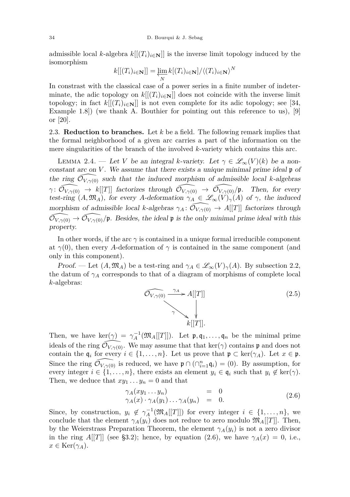admissible local *k*-algebra  $k[[(T_i)_{i\in\mathbf{N}}]]$  is the inverse limit topology induced by the isomorphism

$$
k[[(T_i)_{i\in\mathbf{N}}]] = \varprojlim_{N} k[(T_i)_{i\in\mathbf{N}}]/\langle (T_i)_{i\in\mathbf{N}}\rangle^N
$$

In constrast with the classical case of a power series in a finite number of indeterminate, the adic topology on  $k[[(T_i)_{i\in\mathbb{N}}]]$  does not coincide with the inverse limit topology; in fact  $k[[(T_i)_{i\in\mathbb{N}}]]$  is not even complete for its adic topology; see [\[34,](#page-36-0) Example 1.8]) (we thank A. Bouthier for pointing out this reference to us), [\[9\]](#page-35-8) or [\[20\]](#page-35-9).

2.3. **Reduction to branches.** Let *k* be a field. The following remark implies that the formal neighborhood of a given arc carries a part of the information on the mere singularities of the branch of the involved *k*-variety which contains this arc.

LEMMA 2.4. — Let *V* be an integral *k*-variety. Let  $\gamma \in \mathcal{L}_{\infty}(V)(k)$  be a nonconstant arc on  $V$ . We assume that there exists a unique minimal prime ideal  $\mathfrak p$  of the ring  $\mathcal{O}_{V,\gamma(0)}$  such that the induced morphism of admissible local *k*-algebras *γ* :  $\widehat{\mathcal{O}_{V,\gamma(0)}} \to k[[T]]$  factorizes through  $\widehat{\mathcal{O}_{V,\gamma(0)}} \to \widehat{\mathcal{O}_{V,\gamma(0)}}/\mathfrak{p}$ . Then, for every test-ring  $(A, \mathfrak{M}_A)$ , for every *A*-deformation  $\gamma_A \in \mathscr{L}_{\infty}(V)_{\gamma}(A)$  of  $\gamma$ , the induced morphism of admissible local *k*-algebras  $\gamma_A : \mathcal{O}_{V,\gamma(0)} \to A[[T]]$  factorizes through  $\widehat{\mathcal{O}_{V,\gamma(0)}} \to \widehat{\mathcal{O}_{V,\gamma(0)}}/\mathfrak{p}$ . Besides, the ideal  $\mathfrak{p}$  is the only minimal prime ideal with this property.

In other words, if the arc *γ* is contained in a unique formal irreducible component at  $\gamma(0)$ , then every *A*-deformation of  $\gamma$  is contained in the same component (and only in this component).

Proof. — Let  $(A, \mathfrak{M}_A)$  be a test-ring and  $\gamma_A \in \mathscr{L}_{\infty}(V)_{\gamma}(A)$ . By subsection [2.2,](#page-5-2) the datum of  $\gamma_A$  corresponds to that of a diagram of morphisms of complete local *k*-algebras:



Then, we have  $\ker(\gamma) = \gamma_A^{-1}(\mathfrak{M}_A[[T]])$ . Let  $\mathfrak{p}, \mathfrak{q}_1, \ldots, \mathfrak{q}_n$  be the minimal prime ideals of the ring  $\mathcal{O}_{V,\gamma(0)}$ . We may assume that that ker( $\gamma$ ) contains p and does not contain the  $\mathfrak{q}_i$  for every  $i \in \{1, \ldots, n\}$ . Let us prove that  $\mathfrak{p} \subset \text{ker}(\gamma_A)$ . Let  $x \in \mathfrak{p}$ . Since the ring  $\widehat{\mathcal{O}_{V,\gamma(0)}}$  is reduced, we have  $\mathfrak{p} \cap (\bigcap_{i=1}^n \mathfrak{q}_i) = (0)$ . By assumption, for every integer  $i \in \{1, \ldots, n\}$ , there exists an element  $y_i \in \mathfrak{q}_i$  such that  $y_i \notin \text{ker}(\gamma)$ . Then, we deduce that  $xy_1 \ldots y_n = 0$  and that

<span id="page-6-0"></span>
$$
\gamma_A(xy_1 \dots y_n) = 0 \n\gamma_A(x) \cdot \gamma_A(y_1) \dots \gamma_A(y_n) = 0.
$$
\n(2.6)

Since, by construction,  $y_i \notin \gamma_A^{-1}(\mathfrak{M}_A[[T]])$  for every integer  $i \in \{1, ..., n\}$ , we conclude that the element  $\gamma_A(y_i)$  does not reduce to zero modulo  $\mathfrak{M}_A[[T]]$ . Then, by the Weierstrass Preparation Theorem, the element  $\gamma_A(y_i)$  is not a zero divisor in the ring *A*[[*T*]] (see [§3.2\)](#page-12-0); hence, by equation [\(2.6\)](#page-6-0), we have  $\gamma_A(x) = 0$ , i.e.,  $x \in \text{Ker}(\gamma_A)$ .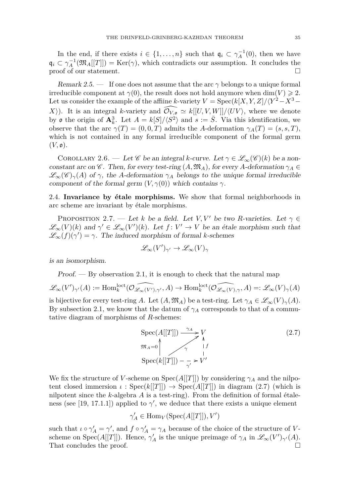In the end, if there exists  $i \in \{1, ..., n\}$  such that  $\mathfrak{q}_i \subset \gamma_A^{-1}(0)$ , then we have  $\mathfrak{q}_i \subset \gamma_A^{-1}(\mathfrak{M}_A[[T]]) = \text{Ker}(\gamma)$ , which contradicts our assumption. It concludes the proof of our statement.  $\Box$ 

Remark 2.5. — If one does not assume that the arc  $\gamma$  belongs to a unique formal irreducible component at  $\gamma(0)$ , the result does not hold anymore when dim(*V*)  $\geq 2$ . Let us consider the example of the affiine *k*-variety  $V = \text{Spec}(k[X, Y, Z]/\langle Y^2 - X^3 - Y^2 \rangle$ *X*). It is an integral *k*-variety and  $\widehat{\mathcal{O}_{V,\bullet}} \simeq k[[U, V, W]]/\langle UV \rangle$ , where we denote by  $\mathfrak o$  the origin of  $\mathbf{A}_k^3$ . Let  $A = k[S]/\langle S^2 \rangle$  and  $s := \overline{S}$ . Via this identification, we observe that the arc  $\gamma(T) = (0, 0, T)$  admits the *A*-deformation  $\gamma_A(T) = (s, s, T)$ , which is not contained in any formal irreducible component of the formal germ  $(V, \mathfrak{o})$ .

COROLLARY 2.6. — Let *C* be an integral *k*-curve. Let  $\gamma \in \mathcal{L}_{\infty}(\mathcal{C})(k)$  be a nonconstant arc on  $\mathscr C$ . Then, for every test-ring  $(A, \mathfrak{M}_A)$ , for every *A*-deformation  $\gamma_A \in$  $\mathscr{L}_{\infty}(\mathscr{C})_{\gamma}(A)$  of  $\gamma$ , the *A*-deformation  $\gamma_A$  belongs to the unique formal irreducible component of the formal germ  $(V, \gamma(0))$  which contains  $\gamma$ .

2.4. **Invariance by étale morphisms.** We show that formal neighborhoods in arc scheme are invariant by étale morphisms.

PROPOSITION 2.7. — Let *k* be a field. Let *V, V'* be two *R*-varieties. Let  $\gamma \in$  $\mathscr{L}_{\infty}(V)(k)$  and  $\gamma' \in \mathscr{L}_{\infty}(V')(k)$ . Let  $f: V' \to V$  be an étale morphism such that  $\mathscr{L}_{\infty}(f)(\gamma') = \gamma$ . The induced morphism of formal *k*-schemes

$$
\mathscr{L}_{\infty}(V')_{\gamma'} \to \mathscr{L}_{\infty}(V)_{\gamma}
$$

is an isomorphism.

 $Proof.$  — By observation [2.1,](#page-5-0) it is enough to check that the natural map

$$
\mathscr{L}_\infty(V')_{\gamma'}(A):=\operatorname{Hom}_k^{\operatorname{loc} t}(\widehat{\mathcal O_{\mathscr{L}_\infty(V'),\gamma'}},A)\to \operatorname{Hom}_k^{\operatorname{loc} t}(\widehat{\mathcal O_{\mathscr{L}_\infty(V),\gamma}},A)=:\mathscr{L}_\infty(V)_\gamma(A)
$$

is bijective for every test-ring *A*. Let  $(A, \mathfrak{M}_A)$  be a test-ring. Let  $\gamma_A \in \mathscr{L}_{\infty}(V)_{\gamma}(A)$ . By subsection [2.1,](#page-4-0) we know that the datum of  $\gamma_A$  corresponds to that of a commutative diagram of morphisms of *R*-schemes:

<span id="page-7-0"></span>
$$
\operatorname{Spec}(A[[T]]) \xrightarrow{\gamma_A} V
$$
  
\n
$$
\mathfrak{M}_A = 0 \qquad \qquad \gamma \qquad \downarrow f
$$
  
\n
$$
\operatorname{Spec}(k[[T]]) - \gamma \succ V'
$$
\n(2.7)

We fix the structure of *V*-scheme on Spec $(A[[T]])$  by considering  $\gamma_A$  and the nilpotent closed immersion  $\iota$ : Spec $(k[[T]]) \to \text{Spec}(A[[T]])$  in diagram [\(2.7\)](#page-7-0) (which is nilpotent since the *k*-algebra *A* is a test-ring). From the definition of formal étale-ness (see [\[19,](#page-35-10) 17.1.1]) applied to  $\gamma'$ , we deduce that there exists a unique element

$$
\gamma'_A \in \mathrm{Hom}_V(\mathrm{Spec}(A[[T]]), V')
$$

such that  $\iota \circ \gamma'_A = \gamma'$ , and  $f \circ \gamma'_A = \gamma_A$  because of the choice of the structure of *V*scheme on Spec( $A[[T]]$ ). Hence,  $\gamma'_{A}$  is the unique preimage of  $\gamma_{A}$  in  $\mathscr{L}_{\infty}(V')_{\gamma'}(A)$ . That concludes the proof.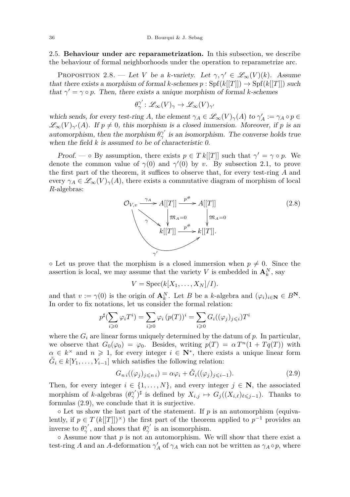2.5. **Behaviour under arc reparametrization.** In this subsection, we describe the behaviour of formal neighborhoods under the operation to reparametrize arc.

<span id="page-8-1"></span>PROPOSITION 2.8. — Let *V* be a *k*-variety. Let  $\gamma, \gamma' \in \mathscr{L}_{\infty}(V)(k)$ . Assume that there exists a morphism of formal *k*-schemes  $p : Spf(k[[T]]) \rightarrow Spf(k[[T]])$  such that  $\gamma' = \gamma \circ p$ . Then, there exists a unique morphism of formal *k*-schemes

$$
\theta_{\gamma}^{\gamma'}\colon \mathscr{L}_{\infty}(V)_{\gamma} \to \mathscr{L}_{\infty}(V)_{\gamma'}
$$

which sends, for every test-ring *A*, the element  $\gamma_A \in \mathscr{L}_{\infty}(V)_{\gamma}(A)$  to  $\gamma'_A := \gamma_A \circ p \in$  $\mathscr{L}_{\infty}(V)_{\gamma'}(A)$ . If  $p \neq 0$ , this morphism is a closed immersion. Moreover, if p is an automorphism, then the morphism  $\theta^{\gamma'}_{\gamma}$  is an isomorphism. The converse holds true when the field  $k$  is assumed to be of characteristic  $0$ .

Proof. — ◦ By assumption, there exists  $p \in T k[[T]]$  such that  $\gamma' = \gamma \circ p$ . We denote the common value of  $\gamma(0)$  and  $\gamma'(0)$  by *v*. By subsection [2.1,](#page-4-0) to prove the first part of the theorem, it suffices to observe that, for every test-ring *A* and every  $\gamma_A \in \mathscr{L}_{\infty}(V)_{\gamma}(A)$ , there exists a commutative diagram of morphism of local *R*-algebras:



 $\circ$  Let us prove that the morphism is a closed immersion when  $p \neq 0$ . Since the assertion is local, we may assume that the variety *V* is embedded in  $\mathbf{A}_k^N$ , say

$$
V = \operatorname{Spec}(k[X_1, \ldots, X_N]/I).
$$

and that  $v := \gamma(0)$  is the origin of  $\mathbf{A}_k^N$ . Let *B* be a *k*-algebra and  $(\varphi_i)_{i \in \mathbf{N}} \in B^N$ . In order to fix notations, let us consider the formal relation:

$$
p^{\sharp}(\sum_{i\geqslant 0}\varphi_iT^i) = \sum_{i\geqslant 0}\varphi_i(p(T))^i = \sum_{i\geqslant 0}G_i((\varphi_j)_{j\leqslant i})T^i
$$

where the  $G_i$  are linear forms uniquely determined by the datum of  $p$ . In particular, we observe that  $G_0(\varphi_0) = \varphi_0$ . Besides, writing  $p(T) = \alpha T^n(1 + Tq(T))$  with  $\alpha \in k^{\times}$  and  $n \geq 1$ , for every integer  $i \in \mathbb{N}^*$ , there exists a unique linear form  $\tilde{G}_i \in k[Y_1, \ldots, Y_{i-1}]$  which satisfies the following relation:

<span id="page-8-0"></span>
$$
G_{ni}((\varphi_j)_{j\leqslant n} = \alpha \varphi_i + \tilde{G}_i((\varphi_j)_{j\leqslant i-1}).
$$
\n(2.9)

Then, for every integer  $i \in \{1, ..., N\}$ , and every integer  $j \in \mathbb{N}$ , the associated morphism of *k*-algebras  $(\theta^{\gamma'}_{\gamma})^{\sharp}$  is defined by  $X_{i,j} \mapsto G_j((X_{i,\ell})_{\ell \leq j-1})$ . Thanks to formulas [\(2.9\)](#page-8-0), we conclude that it is surjective.

 $\circ$  Let us show the last part of the statement. If  $p$  is an automorphism (equivalently, if  $p \in T(k[[T]])^{\times}$  the first part of the theorem applied to  $p^{-1}$  provides an inverse to  $\theta^{\gamma'}_{\gamma}$ , and shows that  $\theta^{\gamma'}_{\gamma}$  is an isomorphism.

◦ Assume now that *p* is not an automorphism. We will show that there exist a test-ring *A* and an *A*-deformation  $\gamma'_{A}$  of  $\gamma_{A}$  wich can not be written as  $\gamma_{A} \circ p$ , where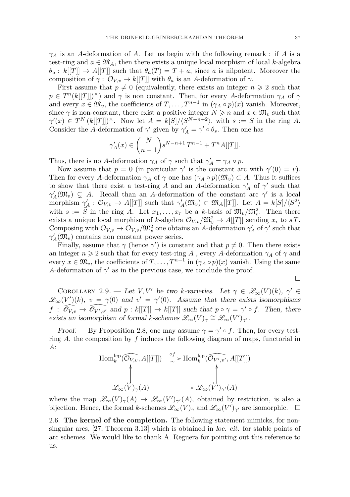*γ<sup>A</sup>* is an *A*-deformation of *A*. Let us begin with the following remark : if *A* is a test-ring and  $a \in \mathfrak{M}_A$ , then there exists a unique local morphism of local *k*-algebra  $\theta_a: k[[T]] \to A[[T]]$  such that  $\theta_a(T) = T + a$ , since *a* is nilpotent. Moreover the composition of  $\gamma$  :  $\mathcal{O}_{V,v} \to k[[T]]$  with  $\theta_a$  is an *A*-deformation of  $\gamma$ .

First assume that  $p \neq 0$  (equivalently, there exists an integer  $n \geq 2$  such that  $p \in T^n(k[[T]])^{\times})$  and  $\gamma$  is non constant. Then, for every *A*-deformation  $\gamma_A$  of  $\gamma$ and every  $x \in \mathfrak{M}_v$ , the coefficients of  $T, \ldots, T^{n-1}$  in  $(\gamma_A \circ p)(x)$  vanish. Moreover, since  $\gamma$  is non-constant, there exist a positive integer  $N \geq n$  and  $x \in \mathfrak{M}_v$  such that  $\gamma'(x) \in T^N (k[[T]])^{\times}$ . Now let  $A = k[S]/\langle S^{N-n+2} \rangle$ , with  $s := \overline{S}$  in the ring *A*. Consider the *A*-deformation of  $\gamma'$  given by  $\gamma'_{A} = \gamma' \circ \theta_{s}$ . Then one has

$$
\gamma'_A(x)\in \binom{N}{n-1}s^{N-n+1}\,T^{n-1}+T^nA[[T]].
$$

Thus, there is no *A*-deformation  $\gamma_A$  of  $\gamma$  such that  $\gamma'_A = \gamma_A \circ p$ .

Now assume that  $p = 0$  (in particular  $\gamma'$  is the constant arc with  $\gamma'(0) = v$ ). Then for every *A*-deformation  $\gamma_A$  of  $\gamma$  one has  $(\gamma_A \circ p)(\mathfrak{M}_v) \subset A$ . Thus it suffices to show that there exist a test-ring *A* and an *A*-deformation  $\gamma'_{A}$  of  $\gamma'$  such that  $\gamma'_{A}(\mathfrak{M}_{v}) \subsetneq A$ . Recall than an *A*-deformation of the constant arc *γ*' is a local morphism  $\gamma'_A: \mathcal{O}_{V,v} \to A[[T]]$  such that  $\gamma'_A(\mathfrak{M}_v) \subset \mathfrak{M}_A[[T]]$ . Let  $A = k[S]/\langle S^2 \rangle$ with  $s := \overline{S}$  in the ring *A*. Let  $x_1, \ldots, x_r$  be a *k*-basis of  $\mathfrak{M}_v / \mathfrak{M}_v^2$ . Then there exists a unique local morphism of *k*-algebra  $\mathcal{O}_{V,v}/\mathfrak{M}_v^2 \to A[[T]]$  sending  $x_i$  to  $sT$ . Composing with  $\mathcal{O}_{V,v} \to \mathcal{O}_{V,v}/\mathfrak{M}_v^2$  one obtains an *A*-deformation  $\gamma'_A$  of  $\gamma'$  such that  $\gamma'_{A}(\mathfrak{M}_{v})$  contains non constant power series.

Finally, assume that  $\gamma$  (hence  $\gamma'$ ) is constant and that  $p \neq 0$ . Then there exists an integer  $n \geq 2$  such that for every test-ring *A*, every *A*-deformation  $\gamma_A$  of  $\gamma$  and every  $x \in \mathfrak{M}_v$ , the coefficients of  $T, \ldots, T^{n-1}$  in  $(\gamma_A \circ p)(x)$  vanish. Using the same *A*-deformation of  $\gamma'$  as in the previous case, we conclude the proof.

$$
\Box
$$

<span id="page-9-0"></span>COROLLARY 2.9. — Let *V*, *V'* be two *k*-varieties. Let  $\gamma \in \mathscr{L}_{\infty}(V)(k)$ ,  $\gamma' \in$  $\mathscr{L}_{\infty}(V')(k), v = \gamma(0)$  and  $v' = \gamma'(0)$ . Assume that there exists isomorphisms  $f : \widehat{\mathscr{O}_{V,v}} \to \widehat{\mathscr{O}_{V',v'}}$  and  $p : k[[T]] \to k[[T]]$  such that  $p \circ \gamma = \gamma' \circ f$ . Then, there exists an isomorphism of formal *k*-schemes  $\mathscr{L}_{\infty}(V)_{\gamma} \cong \mathscr{L}_{\infty}(V')_{\gamma'}$ .

Proof. — By Proposition [2.8,](#page-8-1) one may assume  $\gamma = \gamma' \circ f$ . Then, for every testring *A*, the composition by *f* induces the following diagram of maps, functorial in *A*:

$$
\text{Hom}_k^{\text{lep}}(\widehat{\mathcal{O}_{V,v}}, A[[T]]) \xrightarrow{\circ f} \text{Hom}_k^{\text{lep}}(\widehat{\mathcal{O}_{V',v'}}, A[[T]])
$$
\n
$$
\downarrow \qquad \qquad \downarrow
$$
\n
$$
\mathscr{L}_{\infty}(V)_{\gamma}(A) \xrightarrow{\qquad \qquad \downarrow} \mathscr{L}_{\infty}(V')_{\gamma'}(A)
$$

where the map  $\mathscr{L}_{\infty}(V)_{\gamma}(A) \to \mathscr{L}_{\infty}(V')_{\gamma'}(A)$ , obtained by restriction, is also a bijection. Hence, the formal *k*-schemes  $\mathscr{L}_{\infty}(V)_{\gamma}$  and  $\mathscr{L}_{\infty}(V')_{\gamma'}$  are isomorphic.  $\square$ 

2.6. **The kernel of the completion.** The following statement mimicks, for nonsingular arcs, [\[27,](#page-35-11) Theorem 3.13] which is obtained in loc. cit. for stable points of arc schemes. We would like to thank A. Reguera for pointing out this reference to us.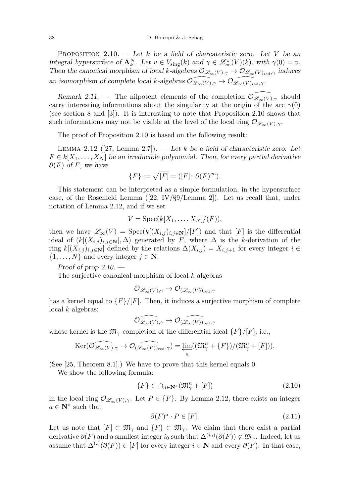<span id="page-10-0"></span>PROPOSITION 2.10. — Let  $k$  be a field of charcateristic zero. Let  $V$  be an integral hypersurface of  $\mathbf{A}_k^N$ . Let  $v \in V_{\text{sing}}(k)$  and  $\gamma \in \mathscr{L}^\circ_\infty(V)(k)$ , with  $\gamma(0) = v$ . Then the canonical morphism of local *k*-algebras  $\mathcal{O}_{\mathscr{L}_{\infty}(V),\gamma} \to \mathcal{O}_{\mathscr{L}_{\infty}(V)_{\text{red}},\gamma}$  induces an isomorphism of complete local *k*-algebras  $\mathcal{O}_{\mathscr{L}_{\infty}(V),\gamma} \to \mathcal{O}_{\mathscr{L}_{\infty}(V)_{\text{red}},\gamma}$ .

Remark 2.11. — The nilpotent elements of the completion  $\mathcal{O}_{\mathscr{L}_{\infty}(V),\gamma}$  should carry interesting informations about the singularity at the origin of the arc  $\gamma(0)$ (see section [8](#page-32-0) and [\[3\]](#page-35-12)). It is interesting to note that Proposition [2.10](#page-10-0) shows that such informations may not be visible at the level of the local ring  $\mathcal{O}_{\mathscr{L}_{\infty}(V),\gamma}$ .

The proof of Proposition [2.10](#page-10-0) is based on the following result:

<span id="page-10-1"></span>LEMMA 2.12 ([\[27,](#page-35-11) Lemma 2.7]). — Let  $k$  be a field of characteristic zero. Let  $F \in k[X_1, \ldots, X_N]$  be an irreducible polynomial. Then, for every partial derivative  $\partial(F)$  of *F*, we have

$$
\{F\}:=\sqrt{[F]}=([F]\colon \partial(F)^\infty).
$$

This statement can be interpreted as a simple formulation, in the hypersurface case, of the Rosenfeld Lemma  $([22, IV/\$9/Lemma 2])$  $([22, IV/\$9/Lemma 2])$  $([22, IV/\$9/Lemma 2])$ . Let us recall that, under notation of Lemma [2.12,](#page-10-1) and if we set

$$
V = \operatorname{Spec}(k[X_1, \ldots, X_N]/(F)),
$$

then we have  $\mathscr{L}_{\infty}(V) = \text{Spec}(k[(X_{i,j})_{i,j\in\mathbb{N}}]/[F])$  and that  $[F]$  is the differential ideal of  $(k[(X_{i,j})_{i,j\in\mathbb{N}}], \Delta)$  generated by F, where  $\Delta$  is the k-derivation of the ring  $k[(X_{i,j})_{i,j\in\mathbb{N}}]$  defined by the relations  $\Delta(X_{i,j}) = X_{i,j+1}$  for every integer  $i \in$  $\{1, \ldots, N\}$  and every integer  $j \in \mathbb{N}$ .

Proof of prop  $2.10.$  —

The surjective canonical morphism of local *k*-algebras

$$
\mathcal{O}_{\mathscr{L}_\infty(V), \gamma} \to \mathcal{O}_{(\mathscr{L}_\infty(V))_{\mathrm{red}}, \gamma}
$$

has a kernel equal to  $\{F\}/[F]$ . Then, it induces a surjective morphism of complete local *k*-algebras:

$$
\widehat{\mathcal{O}_{\mathscr{L}_\infty(V), \gamma}} \to \widehat{\mathcal{O}_{(\mathscr{L}_\infty(V))_{\mathrm{red}}, \gamma}}
$$

whose kernel is the  $\mathfrak{M}_{\gamma}$ -completion of the differential ideal  $\{F\}/[F]$ , i.e.,

$$
\text{Ker}(\widehat{\mathcal{O}_{\mathscr{L}_{\infty}(V), \gamma}} \to \widehat{\mathcal{O}_{(\mathscr{L}_{\infty}(V))_{\text{red}}, \gamma}}) = \varprojlim_{n} ((\mathfrak{M}_{\gamma}^{n} + \{F\})/(\mathfrak{M}_{\gamma}^{n} + [F])).
$$

(See [\[25,](#page-35-14) Theorem 8.1].) We have to prove that this kernel equals 0.

We show the following formula:

<span id="page-10-3"></span>
$$
\{F\} \subset \cap_{n \in \mathbf{N}^*} (\mathfrak{M}^n_\gamma + [F]) \tag{2.10}
$$

in the local ring  $\mathcal{O}_{\mathscr{L}_{\infty}(V),\gamma}$ . Let  $P \in \{F\}$ . By Lemma [2.12,](#page-10-1) there exists an integer  $a \in \mathbb{N}^*$  such that

<span id="page-10-2"></span>
$$
\partial(F)^a \cdot P \in [F].\tag{2.11}
$$

Let us note that  $[F] \subset \mathfrak{M}_{\gamma}$  and  $\{F\} \subset \mathfrak{M}_{\gamma}$ . We claim that there exist a partial derivative  $\partial(F)$  and a smallest integer *i*<sub>0</sub> such that  $\Delta^{(i_0)}(\partial(F)) \notin \mathfrak{M}_{\gamma}$ . Indeed, let us assume that  $\Delta^{(i)}(\partial(F)) \in [F]$  for every integer  $i \in \mathbb{N}$  and every  $\partial(F)$ . In that case,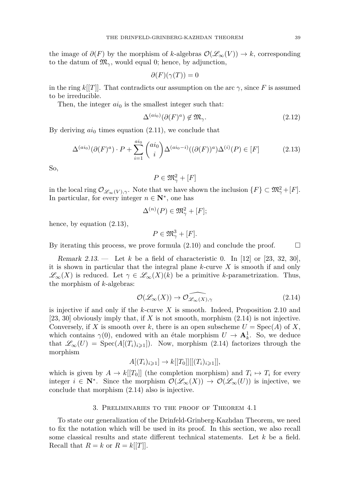the image of  $\partial(F)$  by the morphism of *k*-algebras  $\mathcal{O}(\mathcal{L}_{\infty}(V)) \to k$ , corresponding to the datum of  $\mathfrak{M}_{\gamma}$ , would equal 0; hence, by adjunction,

$$
\partial(F)(\gamma(T)) = 0
$$

in the ring  $k[[T]]$ . That contradicts our assumption on the arc  $\gamma$ , since F is assumed to be irreducible.

Then, the integer  $ai_0$  is the smallest integer such that:

$$
\Delta^{(ai_0)}(\partial(F)^a) \notin \mathfrak{M}_\gamma. \tag{2.12}
$$

By deriving  $ai_0$  times equation  $(2.11)$ , we conclude that

<span id="page-11-1"></span>
$$
\Delta^{(ai_0)}(\partial(F)^a) \cdot P + \sum_{i=1}^{ai_0} \binom{ai_0}{i} \Delta^{(ai_0-i)}((\partial(F))^a) \Delta^{(i)}(P) \in [F] \tag{2.13}
$$

So,

$$
P \in \mathfrak{M}_{\gamma}^2 + [F]
$$

in the local ring  $\mathcal{O}_{\mathscr{L}_{\infty}(V),\gamma}$ . Note that we have shown the inclusion  $\{F\} \subset \mathfrak{M}_{\gamma}^2 + [F]$ . In particular, for every integer  $n \in \mathbb{N}^*$ , one has

$$
\Delta^{(n)}(P) \in \mathfrak{M}^2_\gamma + [F];
$$

hence, by equation [\(2.13\)](#page-11-1),

$$
P\in \mathfrak{M}^3_\gamma + [F].
$$

By iterating this process, we prove formula  $(2.10)$  and conclude the proof.  $\Box$ 

Remark 2.13. — Let  $k$  be a field of characteristic 0. In [\[12\]](#page-35-15) or [\[23,](#page-35-16) [32,](#page-36-1) [30\]](#page-36-2), it is shown in particular that the integral plane *k*-curve *X* is smooth if and only  $\mathscr{L}_{\infty}(X)$  is reduced. Let  $\gamma \in \mathscr{L}_{\infty}(X)(k)$  be a primitive *k*-parametrization. Thus, the morphism of *k*-algebras:

<span id="page-11-2"></span>
$$
\mathcal{O}(\mathcal{L}_{\infty}(X)) \to \widehat{\mathcal{O}_{\mathcal{L}_{\infty}(X), \gamma}}
$$
\n(2.14)

is injective if and only if the *k*-curve *X* is smooth. Indeed, Proposition [2.10](#page-10-0) and [\[23,](#page-35-16) [30\]](#page-36-2) obviously imply that, if *X* is not smooth, morphism [\(2.14\)](#page-11-2) is not injective. Conversely, if *X* is smooth over *k*, there is an open subscheme  $U = \text{Spec}(A)$  of *X*, which contains  $\gamma(0)$ , endowed with an étale morphism  $U \to \mathbf{A}_k^1$ . So, we deduce that  $\mathscr{L}_{\infty}(U) = \text{Spec}(A[(T_i)_{i\geq 1}])$ . Now, morphism [\(2.14\)](#page-11-2) factorizes through the morphism

$$
A[(T_i)_{i\geq 1}] \to k[[T_0]][[(T_i)_{i\geq 1}]],
$$

which is given by  $A \to k[[T_0]]$  (the completion morphism) and  $T_i \mapsto T_i$  for every integer  $i \in \mathbb{N}^*$ . Since the morphism  $\mathcal{O}(\mathcal{L}_\infty(X)) \to \mathcal{O}(\mathcal{L}_\infty(U))$  is injective, we conclude that morphism [\(2.14\)](#page-11-2) also is injective.

# 3. Preliminaries to the proof of Theorem [4.1](#page-13-0)

<span id="page-11-0"></span>To state our generalization of the Drinfeld-Grinberg-Kazhdan Theorem, we need to fix the notation which will be used in its proof. In this section, we also recall some classical results and state different technical statements. Let *k* be a field. Recall that  $R = k$  or  $R = k[[T]]$ .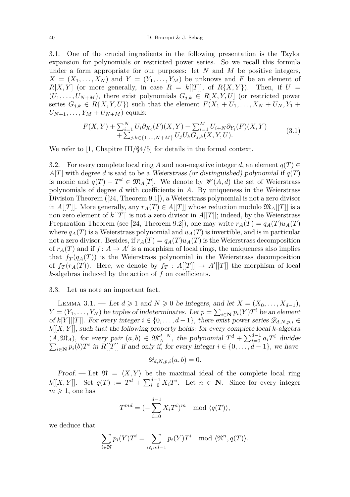<span id="page-12-2"></span>3.1. One of the crucial ingredients in the following presentation is the Taylor expansion for polynomials or restricted power series. So we recall this formula under a form appropriate for our purposes: let *N* and *M* be positive integers,  $X = (X_1, \ldots, X_N)$  and  $Y = (Y_1, \ldots, Y_M)$  be unknows and *F* be an element of  $R[X, Y]$  (or more generally, in case  $R = k[[T]]$ , of  $R\{X, Y\}$ ). Then, if  $U =$  $(U_1, \ldots, U_{N+M})$ , there exist polynomials  $G_{j,k} \in R[X, Y, U]$  (or restricted power series  $G_{j,k} \in R\{X, Y, U\}$  such that the element  $F(X_1 + U_1, \ldots, X_N + U_N, Y_1 +$  $U_{N+1}, \ldots, Y_M + U_{N+M}$  equals:

$$
F(X,Y) + \sum_{i=1}^{N} U_i \partial_{X_i}(F)(X,Y) + \sum_{i=1}^{M} U_{i+N} \partial_{Y_i}(F)(X,Y) + \sum_{j,k \in \{1,...,N+M\}} U_j U_k G_{j,k}(X,Y,U).
$$
 (3.1)

We refer to [\[1,](#page-35-17) Chapitre III/§4/5] for details in the formal context.

<span id="page-12-0"></span>3.2. For every complete local ring A and non-negative integer d, an element  $q(T) \in$  $A[T]$  with degree *d* is said to be a Weierstrass (or distinguished) polynomial if  $q(T)$ is monic and  $q(T) - T^d \in \mathfrak{M}_A[T]$ . We denote by  $\mathscr{W}(A, d)$  the set of Weierstrass polynomials of degree *d* with coefficients in *A*. By uniqueness in the Weierstrass Division Theorem ([\[24,](#page-35-18) Theorem 9.1]), a Weierstrass polynomial is not a zero divisor in *A*[[*T*]]. More generally, any  $r_A(T) \in A[[T]]$  whose reduction modulo  $\mathfrak{M}_A[[T]]$  is a non zero element of  $k[[T]]$  is not a zero divisor in  $A[[T]]$ ; indeed, by the Weierstrass Preparation Theorem (see [\[24,](#page-35-18) Theorem 9.2]), one may write  $r_A(T) = q_A(T)u_A(T)$ where  $q_A(T)$  is a Weierstrass polynomial and  $u_A(T)$  is invertible, and is in particular not a zero divisor. Besides, if  $r_A(T) = q_A(T)u_A(T)$  is the Weierstrass decomposition of  $r_A(T)$  and if  $f: A \to A'$  is a morphism of local rings, the uniqueness also implies that  $f_T(q_A(T))$  is the Weierstrass polynomial in the Weierstrass decomposition of  $f_T(r_A(T))$ . Here, we denote by  $f_T: A[[T]] \to A'[[T]]$  the morphism of local *k*-algebras induced by the action of *f* on coefficients.

#### 3.3. Let us note an important fact.

<span id="page-12-1"></span>LEMMA 3.1. − Let  $d \ge 1$  and  $N \ge 0$  be integers, and let  $X = (X_0, \ldots, X_{d-1})$ ,  $Y = (Y_1, \ldots, Y_N)$  be tuples of indeterminates. Let  $p = \sum_{i \in \mathbb{N}} p_i(Y) T^i$  be an element of  $k[Y][[T]]$ . For every integer  $i \in \{0, \ldots, d-1\}$ , there exist power series  $\mathscr{D}_{d,N,p,i} \in$ *k*[[*X, Y* ]], such that the following property holds: for every complete local *k*-algebra  $(A, \mathfrak{M}_A)$ , for every pair  $(a, b) \in \mathfrak{M}_A^{d+N}$ , the polynomial  $T^d + \sum_{i=0}^{d-1} a_i T^i$ P divides  $i \in \mathbb{N}$  *p*<sub>*i*</sub>(*b*)*T*<sup>*i*</sup> in *R*[[*T*]] if and only if, for every integer  $i \in \{0, \ldots, d-1\}$ , we have

$$
\mathscr{D}_{d,N,p,i}(a,b)=0.
$$

Proof. — Let  $\mathfrak{N} = \langle X, Y \rangle$  be the maximal ideal of the complete local ring  $k[[X, Y]]$ . Set  $q(T) := T^d + \sum_{i=0}^{d-1} X_i T^i$ . Let  $n \in \mathbb{N}$ . Since for every integer  $m \geqslant 1$ , one has

$$
T^{md} = \left(-\sum_{i=0}^{d-1} X_i T^i\right)^m \mod \langle q(T) \rangle,
$$

we deduce that

$$
\sum_{i \in \mathbf{N}} p_i(Y) T^i = \sum_{i \leqslant nd-1} p_i(Y) T^i \mod \langle \mathfrak{N}^n, q(T) \rangle.
$$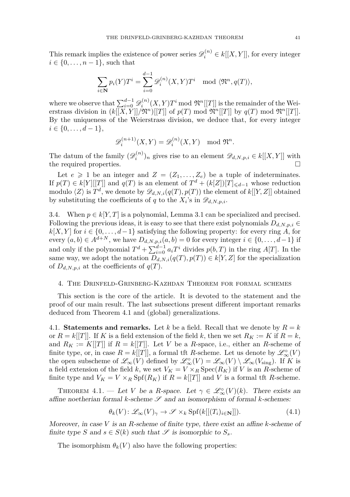This remark implies the existence of power series  $\mathscr{D}_i^{(n)} \in k[[X, Y]]$ , for every integer  $i \in \{0, \ldots, n-1\}$ , such that

$$
\sum_{i \in \mathbf{N}} p_i(Y) T^i = \sum_{i=0}^{d-1} \mathscr{D}_i^{(n)}(X, Y) T^i \mod \langle \mathfrak{N}^n, q(T) \rangle,
$$

where we observe that  $\sum_{i=0}^{d-1} \mathscr{D}_i^{(n)}(X, Y) T^i \text{ mod } \mathfrak{N}^n[[T]]$  is the remainder of the Weierstrass division in  $(k[[X, Y]]/\mathfrak{N}^n)[[T]]$  of  $p(T) \mod \mathfrak{N}^n[[T]]$  by  $q(T) \mod \mathfrak{N}^n[[T]]$ . By the uniqueness of the Weierstrass division, we deduce that, for every integer  $i \in \{0, \ldots, d-1\},\$ 

$$
\mathscr{D}_i^{(n+1)}(X,Y) = \mathscr{D}_i^{(n)}(X,Y) \mod \mathfrak{N}^n.
$$

The datum of the family  $(\mathscr{D}_i^{(n)})_n$  gives rise to an element  $\mathscr{D}_{d,N,p,i} \in k[[X,Y]]$  with the required properties.

Let  $e \geq 1$  be an integer and  $Z = (Z_1, \ldots, Z_e)$  be a tuple of indeterminates. If  $p(T) \in k[Y][[T]]$  and  $q(T)$  is an element of  $T^d + (k[Z])[T]_{\leq d-1}$  whose reduction modulo  $\langle Z \rangle$  is  $T^d$ , we denote by  $\mathscr{D}_{d,N,i}(q(T),p(T))$  the element of  $k[[Y,Z]]$  obtained by substituting the coefficients of *q* to the  $X_i$ 's in  $\mathscr{D}_{d,N,p,i}$ .

<span id="page-13-3"></span>3.4. When  $p \in k[Y, T]$  is a polynomial, Lemma [3.1](#page-12-1) can be specialized and precised. Following the previous ideas, it is easy to see that there exist polynomials  $D_{d,N,p,i} \in$  $k[X, Y]$  for  $i \in \{0, \ldots, d-1\}$  satisfying the following property: for every ring *A*, for every  $(a, b) \in A^{d+N}$ , we have  $D_{d,N,p,i}(a, b) = 0$  for every integer  $i \in \{0, \ldots, d-1\}$  if and only if the polynomial  $T^d + \sum_{i=0}^{d-1} a_i T^i$  divides  $p(b,T)$  in the ring  $A[T]$ . In the same way, we adopt the notation  $D_{d,N,i}(q(T),p(T)) \in k[Y,Z]$  for the specialization of  $D_{d,N,p,i}$  at the coefficients of  $q(T)$ .

# <span id="page-13-1"></span>4. The Drinfeld-Grinberg-Kazhdan Theorem for formal schemes

This section is the core of the article. It is devoted to the statement and the proof of our main result. The last subsections present different important remarks deduced from Theorem [4.1](#page-13-0) and (global) generalizations.

4.1. **Statements and remarks.** Let  $k$  be a field. Recall that we denote by  $R = k$ or  $R = k[[T]]$ . If *K* is a field extension of the field *k*, then we set  $R_K := K$  if  $R = k$ , and  $R_K := K[[T]]$  if  $R = k[[T]]$ . Let V be a R-space, i.e., either an R-scheme of finite type, or, in case  $R = k[[T]],$  a formal tft *R*-scheme. Let us denote by  $\mathscr{L}^\circ_\infty(V)$ the open subscheme of  $\mathscr{L}_{\infty}(V)$  defined by  $\mathscr{L}_{\infty}^{\circ}(V) = \mathscr{L}_{\infty}(V) \setminus \mathscr{L}_{\infty}(V_{sing})$ . If K is a field extension of the field *k*, we set  $V_K = V \times_R \text{Spec}(R_K)$  if *V* is an *R*-scheme of finite type and  $V_K = V \times_R \text{Spf}(R_K)$  if  $R = k[[T]]$  and *V* is a formal tft *R*-scheme.

<span id="page-13-0"></span>THEOREM 4.1. — Let *V* be a *R*-space. Let  $\gamma \in \mathcal{L}_{\infty}^{\circ}(V)(k)$ . There exists an affine noetherian formal  $k$ -scheme  $\mathscr S$  and an isomorphism of formal  $k$ -schemes:

<span id="page-13-2"></span>
$$
\theta_k(V): \mathscr{L}_\infty(V)_\gamma \to \mathscr{S} \times_k \mathrm{Spf}(k[[(T_i)_{i \in \mathbf{N}}]]). \tag{4.1}
$$

Moreover, in case *V* is an *R*-scheme of finite type, there exist an affine *k*-scheme of finite type *S* and  $s \in S(k)$  such that  $\mathscr S$  is isomorphic to  $S_s$ .

The isomorphism  $\theta_k(V)$  also have the following properties: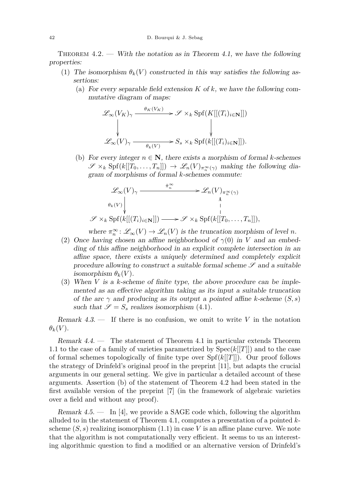<span id="page-14-0"></span>THEOREM  $4.2.$  — With the notation as in Theorem [4.1,](#page-13-0) we have the following properties:

- (1) The isomorphism  $\theta_k(V)$  constructed in this way satisfies the following assertions:
	- (a) For every separable field extension *K* of *k*, we have the following commutative diagram of maps:

$$
\mathcal{L}_{\infty}(V_K)_{\gamma} \xrightarrow{\theta_K(V_K)} \mathcal{S} \times_k \text{Spf}(K[[(T_i)_{i \in \mathbf{N}}]])
$$
  
\n
$$
\downarrow \qquad \qquad \downarrow
$$
  
\n
$$
\mathcal{L}_{\infty}(V)_{\gamma} \xrightarrow{\theta_k(V)} S_s \times_k \text{Spf}(k[[(T_i)_{i \in \mathbf{N}}]]).
$$

(b) For every integer  $n \in \mathbb{N}$ , there exists a morphism of formal *k*-schemes  $\mathscr{S} \times_k \text{Spf}(k[[T_0,\ldots,T_n]]) \to \mathscr{L}_n(V)_{\pi_{\infty}^{\infty}(\gamma)}$  making the following diagram of morphisms of formal *k*-schemes commute:

$$
\mathscr{L}_{\infty}(V)_{\gamma} \xrightarrow{\hat{\pi}_{n}^{\infty}} \mathscr{L}_{n}(V)_{\pi_{n}^{\infty}(\gamma)}
$$
\n
$$
\theta_{k}(V) \downarrow \qquad \qquad \downarrow
$$
\n
$$
\mathscr{S} \times_{k} \text{Spf}(k[[(T_{i})_{i \in \mathbf{N}}]]) \xrightarrow{\hat{\pi}_{n}^{\infty}} \mathscr{S} \times_{k} \text{Spf}(k[[T_{0}, \dots, T_{n}]]),
$$

where  $\pi_n^{\infty}$ :  $\mathscr{L}_{\infty}(V) \to \mathscr{L}_n(V)$  is the truncation morphism of level *n*.

- (2) Once having chosen an affine neighborhood of  $\gamma(0)$  in *V* and an embedding of this affine neighborhood in an explicit complete intersection in an affine space, there exists a uniquely determined and completely explicit procedure allowing to construct a suitable formal scheme  $\mathscr S$  and a suitable isomorphism  $\theta_k(V)$ .
- (3) When *V* is a *k*-scheme of finite type, the above procedure can be implemented as an effective algorithm taking as its input a suitable truncation of the arc  $\gamma$  and producing as its output a pointed affine *k*-scheme  $(S, s)$ such that  $\mathscr{S} = S_s$  realizes isomorphism [\(4.1\)](#page-13-2).

Remark 4.3. — If there is no confusion, we omit to write *V* in the notation  $\theta_k(V)$ .

Remark 4.4. — The statement of Theorem [4.1](#page-13-0) in particular extends Theorem [1.1](#page-1-0) to the case of a family of varieties parametrized by Spec(*k*[[*T*]]) and to the case of formal schemes topologically of finite type over Spf(*k*[[*T*]]). Our proof follows the strategy of Drinfeld's original proof in the preprint [\[11\]](#page-35-0), but adapts the crucial arguments in our general setting. We give in particular a detailed account of these arguments. Assertion (b) of the statement of Theorem [4.2](#page-14-0) had been stated in the first available version of the preprint [\[7\]](#page-35-3) (in the framework of algebraic varieties over a field and without any proof).

Remark 4.5. — In [\[4\]](#page-35-5), we provide a SAGE code which, following the algorithm alluded to in the statement of Theorem [4.1,](#page-13-0) computes a presentation of a pointed *k*scheme  $(S, s)$  realizing isomorphism  $(1.1)$  in case V is an affine plane curve. We note that the algorithm is not computationally very efficient. It seems to us an interesting algorithmic question to find a modified or an alternative version of Drinfeld's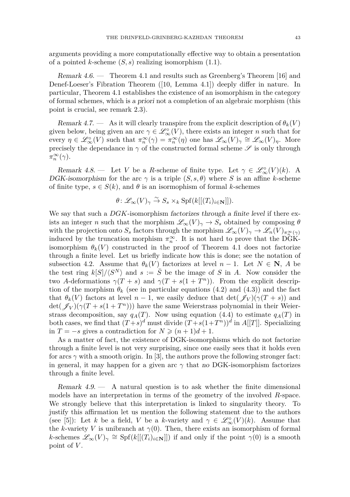arguments providing a more computationally effective way to obtain a presentation of a pointed *k*-scheme (*S, s*) realizing isomorphism [\(1.1\)](#page-1-3).

Remark 4.6. — Theorem [4.1](#page-13-0) and results such as Greenberg's Theorem [\[16\]](#page-35-19) and Denef-Loeser's Fibration Theorem ([\[10,](#page-35-20) Lemma 4.1]) deeply differ in nature. In particular, Theorem [4.1](#page-13-0) establishes the existence of an isomorphism in the category of formal schemes, which is a priori not a completion of an algebraic morphism (this point is crucial, see remark [2.3\)](#page-5-3).

Remark 4.7. — As it will clearly transpire from the explicit description of  $\theta_k(V)$ given below, being given an arc  $\gamma \in \mathcal{L}_{\infty}^{\circ}(V)$ , there exists an integer *n* such that for every  $\eta \in \mathscr{L}_{\infty}^{\circ}(V)$  such that  $\pi_{n}^{\infty}(\gamma) = \pi_{n}^{\infty}(\eta)$  one has  $\mathscr{L}_{\infty}(V)_{\gamma} \cong \mathscr{L}_{\infty}(V)_{\eta}$ . More precisely the dependance in  $\gamma$  of the constructed formal scheme  $\mathscr S$  is only through *π*<sup>∞</sup> *n* (*γ*).

<span id="page-15-0"></span>Remark 4.8. — Let *V* be a *R*-scheme of finite type. Let  $\gamma \in \mathcal{L}_{\infty}^{\circ}(V)(k)$ . A DGK-isomorphism for the arc  $\gamma$  is a triple  $(S, s, \theta)$  where *S* is an affine *k*-scheme of finite type,  $s \in S(k)$ , and  $\theta$  is an isormophism of formal *k*-schemes

$$
\theta \colon \mathscr{L}_{\infty}(V)_{\gamma} \stackrel{\sim}{\to} S_s \times_k \mathrm{Spf}(k[[(T_i)_{i \in \mathbf{N}}]]).
$$

We say that such a *DGK*-isomorphism factorizes through a finite level if there exists an integer *n* such that the morphism  $\mathscr{L}_{\infty}(V)_{\gamma} \to S_s$  obtained by composing  $\theta$ with the projection onto  $S_s$  factors through the morphism  $\mathscr{L}_{\infty}(V)_{\gamma} \to \mathscr{L}_n(V)_{\pi_{\infty}^{\infty}(\gamma)}$ induced by the truncation morphism  $\pi_n^{\infty}$ . It is not hard to prove that the DGKisomorphism  $\theta_k(V)$  constructed in the proof of Theorem [4.1](#page-13-0) does not factorize through a finite level. Let us briefly indicate how this is done; see the notation of subsection [4.2.](#page-16-0) Assume that  $\theta_k(V)$  factorizes at level  $n-1$ . Let  $N \in \mathbb{N}$ , A be the test ring  $k[S]/\langle S^N \rangle$  and  $s := \overline{S}$  be the image of *S* in *A*. Now consider the two *A*-deformations  $\gamma(T+s)$  and  $\gamma(T+s(1+T^n))$ . From the explicit description of the morphism  $\theta_k$  (see in particular equations [\(4.2\)](#page-19-1) and [\(4.3\)](#page-20-0)) and the fact that  $\theta_k(V)$  factors at level  $n-1$ , we easily deduce that  $\det(\mathscr{J}_V)(\gamma(T+s))$  and  $\det(\mathscr{J}_V)(\gamma(T+s(1+T^n)))$  have the same Weierstrass polynomial in their Weierstrass decomposition, say  $q_A(T)$ . Now using equation [\(4.4\)](#page-20-1) to estimate  $q_A(T)$  in both cases, we find that  $(T+s)^d$  must divide  $(T+s(1+T^n))^d$  in  $A[[T]]$ . Specializing in *T* = −*s* gives a contradiction for  $N \geq (n+1)d+1$ .

As a matter of fact, the existence of DGK-isomorphisms which do not factorize through a finite level is not very surprising, since one easily sees that it holds even for arcs  $\gamma$  with a smooth origin. In [\[3\]](#page-35-12), the authors prove the following stronger fact: in general, it may happen for a given arc  $\gamma$  that no DGK-isomorphism factorizes through a finite level.

Remark  $4.9$  — A natural question is to ask whether the finite dimensional models have an interpretation in terms of the geometry of the involved *R*-space. We strongly believe that this interpretation is linked to singularity theory. To justify this affirmation let us mention the following statement due to the authors (see [\[5\]](#page-35-21)): Let *k* be a field, *V* be a *k*-variety and  $\gamma \in \mathcal{L}_{\infty}^{\circ}(V)(k)$ . Assume that the *k*-variety *V* is unibranch at  $\gamma(0)$ . Then, there exists an isomorphism of formal *k*-schemes  $\mathscr{L}_{\infty}(V)_{\gamma} \cong Spf(k[[(T_i)_{i\in\mathbf{N}}]])$  if and only if the point  $\gamma(0)$  is a smooth point of *V* .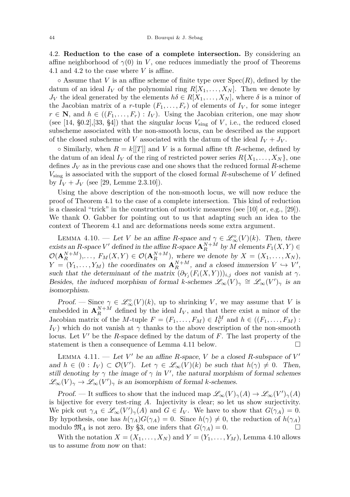<span id="page-16-0"></span>4.2. **Reduction to the case of a complete intersection.** By considering an affine neighborhood of  $\gamma(0)$  in *V*, one reduces immediatly the proof of Theorems [4.1](#page-13-0) and [4.2](#page-14-0) to the case where *V* is affine.

 $\circ$  Assume that *V* is an affine scheme of finite type over  $Spec(R)$ , defined by the datum of an ideal  $I_V$  of the polynomial ring  $R[X_1, \ldots, X_N]$ . Then we denote by *J<sub>V</sub>* the ideal generated by the elements  $h\delta \in R[X_1, \ldots, X_N]$ , where  $\delta$  is a minor of the Jacobian matrix of a *r*-tuple  $(F_1, \ldots, F_r)$  of elements of  $I_V$ , for some integer  $r \in \mathbb{N}$ , and  $h \in ((F_1, \ldots, F_r) : I_V)$ . Using the Jacobian criterion, one may show (see  $[14, §0.2], [33, §4]$  $[14, §0.2], [33, §4]$  $[14, §0.2], [33, §4]$  $[14, §0.2], [33, §4]$ ) that the singular locus  $V_{\text{sing}}$  of *V*, i.e., the reduced closed subscheme associated with the non-smooth locus, can be described as the support of the closed subscheme of *V* associated with the datum of the ideal  $I_V + J_V$ .

 $\circ$  Similarly, when  $R = k[[T]]$  and *V* is a formal affine tft *R*-scheme, defined by the datum of an ideal  $I_V$  of the ring of restricted power series  $R\{X_1, \ldots, X_N\}$ , one defines  $J_V$  as in the previous case and one shows that the reduced formal  $R$ -scheme *V*sing is associated with the support of the closed formal *R*-subscheme of *V* defined by  $I_V + J_V$  (see [\[29,](#page-35-7) Lemme 2.3.10]).

Using the above description of the non-smooth locus, we will now reduce the proof of Theorem [4.1](#page-13-0) to the case of a complete intersection. This kind of reduction is a classical "trick" in the construction of motivic measures (see [\[10\]](#page-35-20) or, e.g., [\[29\]](#page-35-7)). We thank O. Gabber for pointing out to us that adapting such an idea to the context of Theorem [4.1](#page-13-0) and arc deformations needs some extra argument.

<span id="page-16-2"></span>LEMMA 4.10. — Let *V* be an affine *R*-space and  $\gamma \in \mathcal{L}_{\infty}^{\circ}(V)(k)$ . Then, there exists an *R*-space *V*<sup> $\prime$ </sup> defined in the affine *R*-space  $\mathbf{A}_{R}^{N+M}$  by *M* elements  $F_1(X, Y) \in$  $\mathcal{O}(\mathbf{A}_R^{N+M})$ ,...,  $F_M(X,Y) \in \mathcal{O}(\mathbf{A}_R^{N+M})$ , where we denote by  $X = (X_1, \ldots, X_N)$ ,  $Y = (Y_1, \ldots, Y_M)$  the coordinates on  $\mathbf{A}_R^{N+M}$ , and a closed immersion  $V \hookrightarrow V'$ , such that the determinant of the matrix  $(\partial_{Y_i}(F_i(X, Y)))_{i,j}$  does not vanish at  $\gamma$ . Besides, the induced morphism of formal *k*-schemes  $\mathscr{L}_{\infty}(V)_{\gamma} \cong \mathscr{L}_{\infty}(V')_{\gamma}$  is an isomorphism.

Proof. — Since  $\gamma \in \mathscr{L}_{\infty}^{\circ}(V)(k)$ , up to shrinking *V*, we may assume that *V* is embedded in  $\mathbf{A}_{R}^{N+M}$  defined by the ideal  $I_V$ , and that there exist a minor of the Jacobian matrix of the *M*-tuple  $F = (F_1, \ldots, F_M) \in I_V^M$  and  $h \in ((F_1, \ldots, F_M)$ :  $I_V$ ) which do not vanish at  $\gamma$  thanks to the above description of the non-smooth locus. Let V' be the *R*-space defined by the datum of *F*. The last property of the statement is then a consequence of Lemma [4.11](#page-16-1) below.  $\square$ 

<span id="page-16-1"></span>LEMMA 4.11. — Let  $V'$  be an affine *R*-space, *V* be a closed *R*-subspace of  $V'$ and  $h \in (0: I_V) \subset \mathcal{O}(V')$ . Let  $\gamma \in \mathscr{L}_{\infty}(V)(k)$  be such that  $h(\gamma) \neq 0$ . Then, still denoting by  $\gamma$  the image of  $\gamma$  in V', the natural morphism of formal schemes  $\mathscr{L}_{\infty}(V)_{\gamma} \to \mathscr{L}_{\infty}(V')_{\gamma}$  is an isomorphism of formal *k*-schemes.

Proof. — It suffices to show that the induced map  $\mathscr{L}_{\infty}(V)_{\gamma}(A) \to \mathscr{L}_{\infty}(V')_{\gamma}(A)$ is bijective for every test-ring *A*. Injectivity is clear; so let us show surjectivity. We pick out  $\gamma_A \in \mathscr{L}_{\infty}(V')_{\gamma}(A)$  and  $G \in I_V$ . We have to show that  $G(\gamma_A) = 0$ . By hypothesis, one has  $h(\gamma_A)G(\gamma_A) = 0$ . Since  $h(\gamma) \neq 0$ , the reduction of  $h(\gamma_A)$ modulo  $\mathfrak{M}_A$  is not zero. By [§3,](#page-11-0) one infers that  $G(\gamma_A) = 0$ .

With the notation  $X = (X_1, \ldots, X_N)$  and  $Y = (Y_1, \ldots, Y_M)$ , Lemma [4.10](#page-16-2) allows us to assume from now on that: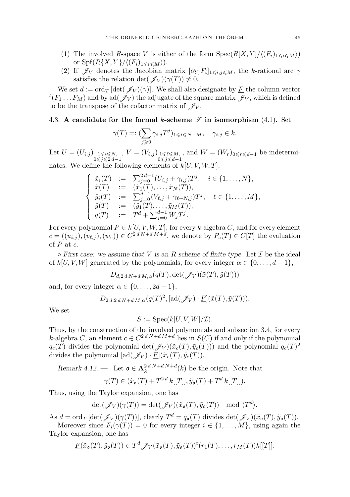- (1) The involved *R*-space *V* is either of the form  $Spec(R[X, Y]/\langle (F_i)_{1\leq i \leq M} \rangle)$ or  $\text{Spf}(R\{X,Y\}/\langle (F_i)_{1\leq i\leq M}\rangle).$
- (2) If  $\mathscr{J}_V$  denotes the Jacobian matrix  $[\partial_{Y_j} F_i]_{1 \leq i,j \leq M}$ , the *k*-rational arc  $\gamma$ satisfies the relation det( $\mathscr{J}_V$ )( $\gamma(T)$ )  $\neq 0$ .

We set  $d := \text{ord}_T \left[ \det(\mathcal{J}_V)(\gamma) \right]$ . We shall also designate by <u>F</u> the column vector  $f^t(F_1 \dots F_M)$  and by ad $(\mathscr{J}_V)$  the adjugate of the square matrix  $\mathscr{J}_V$ , which is defined to be the transpose of the cofactor matrix of  $\mathscr{J}_V$ .

# <span id="page-17-1"></span>4.3. **A** candidate for the formal *k*-scheme  $\mathscr S$  in isomorphism [\(4.1\)](#page-13-2). Set

$$
\gamma(T) =: (\sum_{j\geqslant 0} \gamma_{i,j} T^j)_{1\leqslant i\leqslant N+M}, \quad \gamma_{i,j}\in k.
$$

Let  $U = (U_{i,j})_{\substack{1 \le i \le N, \\ 0 \le j \le 2d-1}}$ ,  $V = (V_{\ell,j})_{\substack{1 \le \ell \le M, \\ 0 \le j \le d-1}}$ , and  $W = (W_r)_{0 \le r \le d-1}$  be indeterminates. We define the following elements of  $k[U, V, W, T]$ :

$$
\begin{cases}\n\tilde{x}_i(T) &:= \sum_{j=0}^{2d-1} (U_{i,j} + \gamma_{i,j}) T^j, \quad i \in \{1, ..., N\}, \\
\tilde{x}(T) &:= (\tilde{x}_1(T), ..., \tilde{x}_N(T)), \\
\tilde{y}_i(T) &:= \sum_{j=0}^{d-1} (V_{\ell,j} + \gamma_{\ell+N,j}) T^j, \quad \ell \in \{1, ..., M\}, \\
\tilde{y}(T) &:= (\tilde{y}_1(T), ..., \tilde{y}_M(T)), \\
q(T) &:= T^d + \sum_{j=0}^{d-1} W_j T^j.\n\end{cases}
$$

For every polynomial  $P \in k[U, V, W, T]$ , for every *k*-algebra *C*, and for every element  $c = ((u_{i,j}), (v_{\ell,j}), (w_r)) \in C^{2 d N + d M + d}$ , we denote by  $P_c(T) \in C[T]$  the evaluation of *P* at *c*.

 $\circ$  First case: we assume that *V* is an *R*-scheme of finite type. Let *I* be the ideal of  $k[U, V, W]$  generated by the polynomials, for every integer  $\alpha \in \{0, \ldots, d-1\}$ ,

$$
D_{d,2dN+dM,\alpha}(q(T),\det(\mathscr{J}_V)(\tilde{x}(T),\tilde{y}(T)))
$$

and, for every integer  $\alpha \in \{0, \ldots, 2d - 1\}$ ,

 $D_{2 d, 2 d, N+d, M, \alpha}(q(T)^2, [\text{ad}(\mathscr{J}_V) \cdot \underline{F}](\tilde{x}(T), \tilde{y}(T))).$ 

We set

$$
S := \operatorname{Spec}(k[U, V, W]/\mathcal{I}).
$$

Thus, by the construction of the involved polynomials and subsection [3.4,](#page-13-3) for every *k*-algebra *C*, an element  $c \in C^{2 d N + d M + d}$  lies in  $S(C)$  if and only if the polynomial  $q_c(T)$  divides the polynomial det( $\mathscr{J}_V$ )( $\tilde{x}_c(T), \tilde{y}_c(T)$ )) and the polynomial  $q_c(T)^2$ divides the polynomial  $[\text{ad}(\mathscr{J}_V) \cdot F](\tilde{x}_c(T), \tilde{y}_c(T)).$ 

<span id="page-17-0"></span>Remark 4.12. — Let  $\mathfrak{o} \in \mathbf{A}_k^{2dN+dN+d}(k)$  be the origin. Note that

$$
\gamma(T) \in (\tilde{x}_{\mathfrak{o}}(T) + T^{2d} k[[T]], \tilde{y}_{\mathfrak{o}}(T) + T^d k[[T]]).
$$

Thus, using the Taylor expansion, one has

$$
\det(\mathscr{J}_V)(\gamma(T)) = \det(\mathscr{J}_V)(\tilde{x}_\mathfrak{o}(T), \tilde{y}_\mathfrak{o}(T)) \mod \langle T^d \rangle.
$$

As  $d = \text{ord}_T \left[ \det(\mathscr{J}_V)(\gamma(T)) \right],$  clearly  $T^d = q_o(T)$  divides  $\det(\mathscr{J}_V)(\tilde{x}_o(T), \tilde{y}_o(T))$ .

Moreover since  $F_i(\gamma(T)) = 0$  for every integer  $i \in \{1, \ldots, M\}$ , using again the Taylor expansion, one has

$$
\underline{F}(\tilde{x}_{\mathfrak{o}}(T), \tilde{y}_{\mathfrak{o}}(T)) \in T^d \mathscr{J}_V(\tilde{x}_{\mathfrak{o}}(T), \tilde{y}_{\mathfrak{o}}(T))^t (r_1(T), \dots, r_M(T))k[[T]].
$$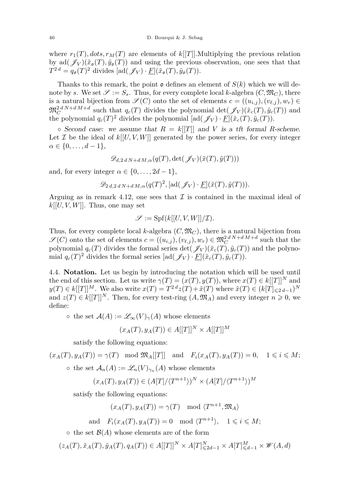where  $r_1(T)$ ,  $dots, r_M(T)$  are elements of  $k[[T]]$ . Multiplying the previous relation by ad $(\mathscr{J}_V)(\tilde{x}_{\mathfrak{o}}(T), \tilde{y}_{\mathfrak{o}}(T))$  and using the previous observation, one sees that that  $T^{2d} = q_o(T)^2$  divides  $[\text{ad}(\mathscr{J}_V) \cdot \underline{F}](\tilde{x}_o(T), \tilde{y}_o(T)).$ 

Thanks to this remark, the point  $\mathfrak o$  defines an element of  $S(k)$  which we will denote by *s*. We set  $\mathscr{S} := S_s$ . Thus, for every complete local *k*-algebra  $(C, \mathfrak{M}_C)$ , there is a natural bijection from  $\mathscr{S}(C)$  onto the set of elements  $c = ((u_{i,j}), (v_{\ell,j}), w_r) \in$  $\mathfrak{M}_{\mathbb{C}}^{2d} N+dM+d$  such that  $q_c(T)$  divides the polynomial det( $\mathscr{J}_V$ )( $\tilde{x}_c(T)$ ,  $\tilde{y}_c(T)$ ) and the polynomial  $q_c(T)^2$  divides the polynomial  $[\text{ad}(\mathscr{J}_V) \cdot \underline{F}](\tilde{x}_c(T), \tilde{y}_c(T))$ .

 $\circ$  Second case: we assume that  $R = k[[T]]$  and *V* is a tft formal *R*-scheme. Let  $\mathcal I$  be the ideal of  $k[[U, V, W]]$  generated by the power series, for every integer  $\alpha \in \{0, \ldots, d-1\},\$ 

$$
\mathscr{D}_{d,2dN+dM,\alpha}(q(T),\det(\mathscr{J}_V)(\tilde{x}(T),\tilde{y}(T)))
$$

and, for every integer  $\alpha \in \{0, \ldots, 2d - 1\},\$ 

$$
\mathscr{D}_{2\,d,2\,d\,N+d\,M,\alpha}(q(T)^2,[\text{ad}(\mathscr{J}_V)\cdot\underline{F}](\tilde{x}(T),\tilde{y}(T))).
$$

Arguing as in remark [4.12,](#page-17-0) one sees that  $\mathcal I$  is contained in the maximal ideal of  $k[[U, V, W]]$ . Thus, one may set

$$
\mathscr{S} := \mathrm{Spf}(k[[U, V, W]]/\mathcal{I}).
$$

Thus, for every complete local *k*-algebra  $(C, \mathfrak{M}_C)$ , there is a natural bijection from  $\mathscr{S}(C)$  onto the set of elements  $c = ((u_{i,j}), (v_{\ell,j}), w_r) \in \mathfrak{M}_C^{2dN+dM+d}$  such that the polynomial  $q_c(T)$  divides the formal series det( $\mathscr{J}_V$ )( $\tilde{x}_c(T)$ ,  $\tilde{y}_c(T)$ ) and the polynomial  $q_c(T)^2$  divides the formal series  $[\text{ad}(\mathscr{J}_V) \cdot \underline{F}](\tilde{x}_c(T), \tilde{y}_c(T))$ .

4.4. **Notation.** Let us begin by introducing the notation which will be used until the end of this section. Let us write  $\gamma(T) = (x(T), y(T))$ , where  $x(T) \in k[[T]]^N$  and  $y(T) \in k[[T]]^M$ . We also write  $x(T) = T^{2d}z(T) + \tilde{x}(T)$  where  $\tilde{x}(T) \in (k[T]_{\leq 2d-1})^N$ and  $z(T) \in k[[T]]^N$ . Then, for every test-ring  $(A, \mathfrak{M}_A)$  and every integer  $n \geq 0$ , we define:

 $\circ$  the set  $\mathcal{A}(A) := \mathscr{L}_{\infty}(V)_{\gamma}(A)$  whose elements

$$
(x_A(T), y_A(T)) \in A[[T]]^N \times A[[T]]^M
$$

satisfy the following equations:

 $(x_A(T), y_A(T)) = \gamma(T) \mod \mathfrak{M}_A[[T]] \text{ and } F_i(x_A(T), y_A(T)) = 0, \quad 1 \leq i \leq M;$ 

 $\circ$  the set  $\mathcal{A}_n(A) := \mathcal{L}_n(V)_{\gamma_n}(A)$  whose elements

$$
(x_A(T), y_A(T)) \in (A[T]/\langle T^{n+1} \rangle)^N \times (A[T]/\langle T^{n+1} \rangle)^M
$$

satisfy the following equations:

 $(x_A(T), y_A(T)) = \gamma(T) \mod \langle T^{n+1}, \mathfrak{M}_A \rangle$ 

and  $F_i(x_A(T), y_A(T)) = 0 \mod \langle T^{n+1} \rangle, \quad 1 \leq i \leq M;$ 

 $\circ$  the set  $\mathcal{B}(A)$  whose elements are of the form

$$
(z_A(T), \tilde{x}_A(T), \tilde{y}_A(T), q_A(T)) \in A[[T]]^N \times A[T]^N_{\leq 2d-1} \times A[T]^M_{\leq d-1} \times \mathcal{W}(A, d)
$$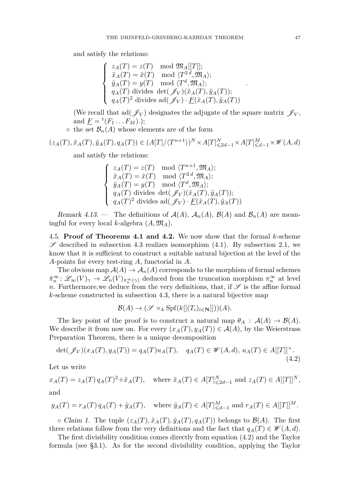and satisfy the relations:

$$
\begin{cases}\n z_A(T) = z(T) \mod \mathfrak{M}_A[[T]]; \\
 \tilde{x}_A(T) = \tilde{x}(T) \mod \langle T^{2d}, \mathfrak{M}_A \rangle; \\
 \tilde{y}_A(T) = y(T) \mod \langle T^d, \mathfrak{M}_A \rangle; \\
 q_A(T) \text{ divides } \det(\mathscr{J}_V)(\tilde{x}_A(T), \tilde{y}_A(T)); \\
 q_A(T)^2 \text{ divides } \mathrm{ad}(\mathscr{J}_V) \cdot \underline{F}(\tilde{x}_A(T), \tilde{y}_A(T))\n\end{cases}
$$

(We recall that ad( $\mathscr{J}_V$ ) designates the adjugate of the square matrix  $\mathscr{J}_V$ , and  $\underline{F} = {}^{t}(F_1 \dots F_M).$ 

 $\circ$  the set  $\mathcal{B}_n(A)$  whose elements are of the form

$$
(z_A(T), \tilde{x}_A(T), \tilde{y}_A(T), q_A(T)) \in (A[T]/\langle T^{n+1} \rangle)^N \times A[T]^N_{\leq 2d-1} \times A[T]^M_{\leq d-1} \times \mathcal{W}(A, d)
$$

and satisfy the relations:

$$
\begin{cases}\n z_A(T) = z(T) \mod \langle T^{n+1}, \mathfrak{M}_A \rangle; \\
 \tilde{x}_A(T) = \tilde{x}(T) \mod \langle T^{2d}, \mathfrak{M}_A \rangle; \\
 \tilde{y}_A(T) = y(T) \mod \langle T^d, \mathfrak{M}_A \rangle; \\
 q_A(T) \text{ divides } \det(\mathscr{J}_V)(\tilde{x}_A(T), \tilde{y}_A(T)); \\
 q_A(T)^2 \text{ divides } \mathrm{ad}(\mathscr{J}_V) \cdot \underline{F}(\tilde{x}_A(T), \tilde{y}_A(T))\n\end{cases}
$$

Remark 4.13. — The definitions of  $\mathcal{A}(A)$ ,  $\mathcal{A}_n(A)$ ,  $\mathcal{B}(A)$  and  $\mathcal{B}_n(A)$  are meaningful for every local *k*-algebra  $(A, \mathfrak{M}_A)$ .

<span id="page-19-0"></span>4.5. **Proof of Theorems [4.1](#page-13-0) and [4.2.](#page-14-0)** We now show that the formal *k*-scheme  $\mathscr S$  described in subsection [4.3](#page-17-1) realizes isomorphism [\(4.1\)](#page-13-2). By subsection [2.1,](#page-4-0) we know that it is sufficient to construct a suitable natural bijection at the level of the *A*-points for every test-ring *A*, functorial in *A*.

The obvious map  $A(A) \to A_n(A)$  corresponds to the morphism of formal schemes  $\hat{\pi}_n^{\infty}$ :  $\mathscr{L}_{\infty}(V)_{\gamma} \to \mathscr{L}_n(V)_{\pi_n^{\infty}(\gamma)}$  deduced from the truncation morphism  $\pi_n^{\infty}$  at level *n*. Furthermore, we deduce from the very definitions, that, if  $\mathscr S$  is the affine formal *k*-scheme constructed in subsection [4.3,](#page-17-1) there is a natural bijective map

$$
\mathcal{B}(A) \to (\mathcal{S} \times_k \mathrm{Spf}(k[[(T_i)_{i \in \mathbf{N}}]]))(A).
$$

The key point of the proof is to construct a natural map  $\theta_A : A(A) \to B(A)$ . We describe it from now on. For every  $(x_A(T), y_A(T)) \in \mathcal{A}(A)$ , by the Weierstrass Preparation Theorem, there is a unique decomposition

<span id="page-19-1"></span>
$$
\det(\mathscr{J}_V)(x_A(T), y_A(T)) = q_A(T)u_A(T), \quad q_A(T) \in \mathscr{W}(A, d), u_A(T) \in A[[T]]^\times.
$$
\n(4.2)

Let us write

 $x_A(T) = z_A(T) q_A(T)^2 + \tilde{x}_A(T)$ , where  $\tilde{x}_A(T) \in A[T]_{\leq 2d-1}^N$  and  $z_A(T) \in A[[T]]^N$ ,

and

$$
y_A(T) = r_A(T) q_A(T) + \tilde{y}_A(T)
$$
, where  $\tilde{y}_A(T) \in A[T]^M_{\leq d-1}$  and  $r_A(T) \in A[[T]]^M$ .

 $\circ$  Claim 1. The tuple  $(z_A(T), \tilde{x}_A(T), \tilde{y}_A(T), q_A(T))$  belongs to  $\mathcal{B}(A)$ . The first three relations follow from the very definitions and the fact that  $q_A(T) \in \mathcal{W}(A, d)$ .

The first divisibility condition comes directly from equation [\(4.2\)](#page-19-1) and the Taylor formula (see [§3.1\)](#page-12-2). As for the second divisibility condition, applying the Taylor

*.*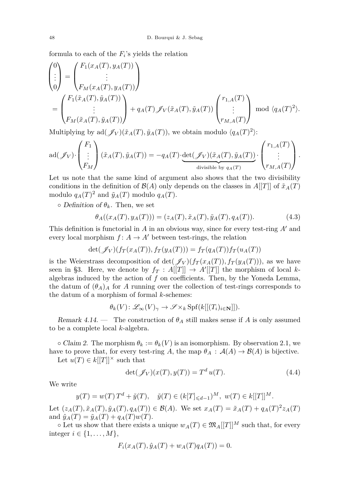formula to each of the *F<sup>i</sup>* 's yields the relation

$$
\begin{pmatrix}\n0 \\
\vdots \\
0\n\end{pmatrix} = \begin{pmatrix}\nF_1(x_A(T), y_A(T)) \\
\vdots \\
F_M(x_A(T), y_A(T))\n\end{pmatrix}
$$
\n
$$
= \begin{pmatrix}\nF_1(\tilde{x}_A(T), \tilde{y}_A(T)) \\
\vdots \\
F_M(\tilde{x}_A(T), \tilde{y}_A(T))\n\end{pmatrix} + q_A(T) \mathscr{J}_V(\tilde{x}_A(T), \tilde{y}_A(T)) \begin{pmatrix}\nr_{1,A}(T) \\
\vdots \\
r_{M,A}(T)\n\end{pmatrix} \mod \langle q_A(T)^2 \rangle.
$$

Multiplying by  $\text{ad}(\mathscr{J}_V)(\tilde{x}_A(T), \tilde{y}_A(T))$ , we obtain modulo  $\langle q_A(T)^2 \rangle$ :

$$
\mathrm{ad}(\mathscr{J}_V) \cdot \begin{pmatrix} F_1 \\ \vdots \\ F_M \end{pmatrix} (\tilde{x}_A(T), \tilde{y}_A(T)) = -q_A(T) \cdot \underbrace{\det(\mathscr{J}_V)(\tilde{x}_A(T), \tilde{y}_A(T))}_{\text{divisible by } q_A(T)} \cdot \begin{pmatrix} r_{1,A}(T) \\ \vdots \\ r_{M,A}(T) \end{pmatrix}.
$$

Let us note that the same kind of argument also shows that the two divisibility conditions in the definition of  $\mathcal{B}(A)$  only depends on the classes in  $A[[T]]$  of  $\tilde{x}_A(T)$ modulo  $q_A(T)^2$  and  $\tilde{y}_A(T)$  modulo  $q_A(T)$ .

 $\circ$  *Definition of*  $\theta_k$ *.* Then, we set

<span id="page-20-0"></span>
$$
\theta_A((x_A(T), y_A(T))) = (z_A(T), \tilde{x}_A(T), \tilde{y}_A(T), q_A(T)). \tag{4.3}
$$

This definition is functorial in  $A$  in an obvious way, since for every test-ring  $A'$  and every local morphism  $f: A \to A'$  between test-rings, the relation

$$
\det(\mathscr{J}_V)(f_T(x_A(T)), f_T(y_A(T))) = f_T(q_A(T))f_T(u_A(T))
$$

is the Weierstrass decomposition of det( $\mathscr{J}_V$ )( $f_T(x_A(T))$ ,  $f_T(y_A(T))$ ), as we have seen in [§3.](#page-11-0) Here, we denote by  $f_T : A[[T]] \to A'[[T]]$  the morphism of local *k*algebras induced by the action of *f* on coefficients. Then, by the Yoneda Lemma, the datum of  $(\theta_A)_A$  for *A* running over the collection of test-rings corresponds to the datum of a morphism of formal *k*-schemes:

$$
\theta_k(V): \mathscr{L}_\infty(V)_\gamma \to \mathscr{S} \times_k \mathrm{Spf}(k[[(T_i)_{i \in \mathbf{N}}]]).
$$

Remark 4.14. — The construction of  $\theta_A$  still makes sense if *A* is only assumed to be a complete local *k*-algebra.

 $\circ$  Claim 2. The morphism  $\theta_k := \theta_k(V)$  is an isomorphism. By observation [2.1,](#page-5-0) we have to prove that, for every test-ring *A*, the map  $\theta_A : \mathcal{A}(A) \to \mathcal{B}(A)$  is bijective. Let  $u(T) \in k[[T]]^{\times}$  such that

<span id="page-20-1"></span>
$$
\det(\mathcal{J}_V)(x(T), y(T)) = T^d u(T). \tag{4.4}
$$

We write

$$
y(T) = w(T) Td + \tilde{y}(T), \quad \tilde{y}(T) \in (k[T]_{\le d-1})^M, \ w(T) \in k[[T]]^M.
$$

Let  $(z_A(T), \tilde{x}_A(T), \tilde{y}_A(T), q_A(T)) \in \mathcal{B}(A)$ . We set  $x_A(T) = \tilde{x}_A(T) + q_A(T)^2 z_A(T)$ and  $\hat{y}_A(T) = \tilde{y}_A(T) + q_A(T)w(T)$ .

 $\circ$  Let us show that there exists a unique  $w_A(T) \in \mathfrak{M}_A[[T]]^M$  such that, for every integer  $i \in \{1, \ldots, M\},\$ 

$$
F_i(x_A(T), \hat{y}_A(T) + w_A(T)q_A(T)) = 0.
$$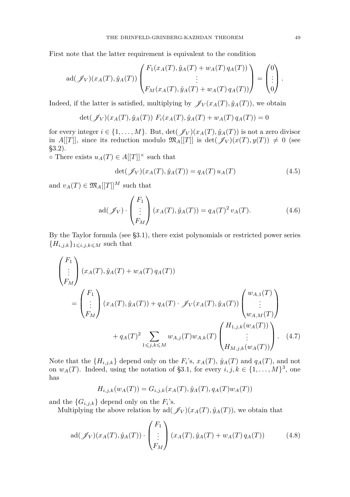First note that the latter requirement is equivalent to the condition

$$
ad(\mathscr{J}_V)(x_A(T), \hat{y}_A(T)) \begin{pmatrix} F_1(x_A(T), \hat{y}_A(T) + w_A(T) q_A(T)) \\ \vdots \\ F_M(x_A(T), \hat{y}_A(T) + w_A(T) q_A(T)) \end{pmatrix} = \begin{pmatrix} 0 \\ \vdots \\ 0 \end{pmatrix}.
$$

Indeed, if the latter is satisfied, multiplying by  $\mathscr{J}_V(x_A(T), \hat{y}_A(T))$ , we obtain

$$
\det(\mathscr{J}_V)(x_A(T), \hat{y}_A(T)) F_i(x_A(T), \hat{y}_A(T) + w_A(T) q_A(T)) = 0
$$

for every integer  $i \in \{1, ..., M\}$ . But,  $\det(\mathscr{J}_V)(x_A(T), \hat{y}_A(T))$  is not a zero divisor in  $A[[T]]$ , since its reduction modulo  $\mathfrak{M}_A[[T]]$  is  $\det(\mathscr{J}_V)(x(T), y(T)) \neq 0$  (see [§3.2\)](#page-12-0).

◦ There exists  $u_A(T)$  ∈  $A[[T]]^{\times}$  such that

<span id="page-21-0"></span>
$$
\det(\mathcal{J}_V)(x_A(T), \hat{y}_A(T)) = q_A(T) u_A(T) \tag{4.5}
$$

and  $v_A(T) \in \mathfrak{M}_A[[T]]^M$  such that

<span id="page-21-1"></span>
$$
ad(\mathscr{J}_V) \cdot \begin{pmatrix} F_1 \\ \vdots \\ F_M \end{pmatrix} (x_A(T), \hat{y}_A(T)) = q_A(T)^2 v_A(T). \tag{4.6}
$$

By the Taylor formula (see [§3.1\)](#page-12-2), there exist polynomials or restricted power series  ${H_{i,j,k}}_{1\leqslant i,j,k\leqslant M}$  such that

$$
\begin{pmatrix}\nF_1 \\
\vdots \\
F_M\n\end{pmatrix} (x_A(T), \hat{y}_A(T) + w_A(T) q_A(T))
$$
\n
$$
= \begin{pmatrix}\nF_1 \\
\vdots \\
F_M\n\end{pmatrix} (x_A(T), \hat{y}_A(T)) + q_A(T) \cdot \mathcal{J}_V(x_A(T), \hat{y}_A(T)) \begin{pmatrix}\nw_{A,1}(T) \\
\vdots \\
w_{A,M}(T)\n\end{pmatrix}
$$
\n
$$
+ q_A(T)^2 \sum_{1 \le j, k \le M} w_{A,j}(T) w_{A,k}(T) \begin{pmatrix}\nH_{1,j,k}(w_A(T)) \\
\vdots \\
H_{M,j,k}(w_A(T))\n\end{pmatrix}.
$$
\n(4.7)

Note that the  $\{H_{i,j,k}\}\$  depend only on the  $F_i$ 's,  $x_A(T)$ ,  $\hat{y}_A(T)$  and  $q_A(T)$ , and not on  $w_A(T)$ . Indeed, using the notation of [§3.1,](#page-12-2) for every  $i, j, k \in \{1, ..., M\}^3$ , one has

$$
H_{i,j,k}(w_A(T)) = G_{i,j,k}(x_A(T), \hat{y}_A(T), q_A(T)w_A(T))
$$

and the  ${G_{i,j,k}}$  depend only on the  $F_i$ 's.

Multiplying the above relation by ad( $\mathscr{J}_V$ ) $(x_A(T), \hat{y}_A(T))$ , we obtain that

$$
ad(\mathcal{J}_V)(x_A(T), \hat{y}_A(T)) \cdot \begin{pmatrix} F_1 \\ \vdots \\ F_M \end{pmatrix} (x_A(T), \hat{y}_A(T) + w_A(T) q_A(T)) \tag{4.8}
$$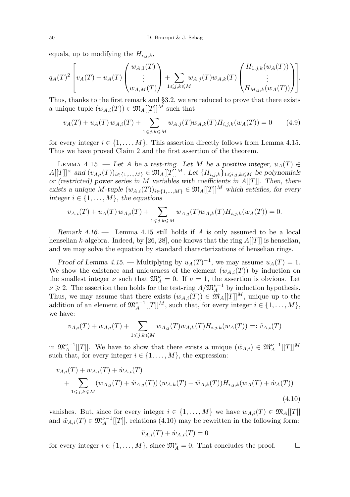equals, up to modifying the *Hi,j,k*,

$$
q_{A}(T)^{2}\left[v_{A}(T) + u_{A}(T)\begin{pmatrix}w_{A,1}(T) \\ \vdots \\ w_{A,M}(T)\end{pmatrix} + \sum_{1 \leq j,k \leq M} w_{A,j}(T)w_{A,k}(T)\begin{pmatrix}H_{1,j,k}(w_{A}(T)) \\ \vdots \\ H_{M,j,k}(w_{A}(T))\end{pmatrix}\right].
$$

Thus, thanks to the first remark and [§3.2,](#page-12-0) we are reduced to prove that there exists a unique tuple  $(w_{A,i}(T)) \in \mathfrak{M}_A[[T]]^M$  such that

$$
v_A(T) + u_A(T) w_{A,i}(T) + \sum_{1 \le j,k \le M} w_{A,j}(T) w_{A,k}(T) H_{i,j,k}(w_A(T)) = 0 \qquad (4.9)
$$

for every integer  $i \in \{1, \ldots, M\}$ . This assertion directly follows from Lemma [4.15.](#page-22-0) Thus we have proved Claim 2 and the first assertion of the theorem.

<span id="page-22-0"></span>LEMMA 4.15. — Let *A* be a test-ring. Let *M* be a positive integer,  $u_A(T)$  ∈  $A[[T]]^{\times}$  and  $(v_{A,i}(T))_{i\in\{1,\ldots,M\}} \in \mathfrak{M}_A[[T]]^M$ . Let  $\{H_{i,j,k}\}_{1\leqslant i,j,k\leqslant M}$  be polynomials or (restricted) power series in *M* variables with coefficients in *A*[[*T*]]. Then, there exists a unique *M*-tuple  $(w_{A,i}(T))_{i\in\{1,\ldots,M\}} \in \mathfrak{M}_A[[T]]^M$  which satisfies, for every integer  $i \in \{1, \ldots, M\}$ , the equations

$$
\nu_{A,i}(T) + u_A(T) w_{A,i}(T) + \sum_{1 \le j,k \le M} w_{A,j}(T) w_{A,k}(T) H_{i,j,k}(w_A(T)) = 0.
$$

<span id="page-22-2"></span>Remark 4.16. — Lemma [4.15](#page-22-0) still holds if *A* is only assumed to be a local henselian *k*-algebra. Indeed, by [\[26,](#page-35-23) [28\]](#page-35-24), one knows that the ring  $A[[T]]$  is henselian, and we may solve the equation by standard characterizations of henselian rings.

Proof of Lemma [4.15.](#page-22-0) — Multiplying by  $u_A(T)^{-1}$ , we may assume  $u_A(T) = 1$ . We show the existence and uniqueness of the element  $(w_{A,i}(T))$  by induction on the smallest integer  $\nu$  such that  $\mathfrak{M}_{A}^{\nu} = 0$ . If  $\nu = 1$ , the assertion is obvious. Let  $\nu \geq 2$ . The assertion then holds for the test-ring  $A/\mathfrak{M}_A^{\nu-1}$  by induction hypothesis. Thus, we may assume that there exists  $(w_{A,i}(T)) \in \mathfrak{M}_A[[T]]^M$ , unique up to the addition of an element of  $\mathfrak{M}_{A}^{\nu-1}[[T]]^M$ , such that, for every integer  $i \in \{1, ..., M\}$ , we have:

$$
v_{A,i}(T) + w_{A,i}(T) + \sum_{1 \le j,k \le M} w_{A,j}(T) w_{A,k}(T) H_{i,j,k}(w_A(T)) =: \tilde{v}_{A,i}(T)
$$

in  $\mathfrak{M}_{A}^{\nu-1}[[T]]$ . We have to show that there exists a unique  $(\tilde{w}_{A,i}) \in \mathfrak{M}_{A}^{\nu-1}[[T]]^M$ such that, for every integer  $i \in \{1, \ldots, M\}$ , the expression:

$$
v_{A,i}(T) + w_{A,i}(T) + \tilde{w}_{A,i}(T)
$$
  
+ 
$$
\sum_{1 \le j,k \le M} (w_{A,j}(T) + \tilde{w}_{A,j}(T)) (w_{A,k}(T) + \tilde{w}_{A,k}(T)) H_{i,j,k}(w_A(T) + \tilde{w}_A(T))
$$
  
(4.10)

vanishes. But, since for every integer  $i \in \{1, ..., M\}$  we have  $w_{A,i}(T) \in \mathfrak{M}_A[[T]]$ and  $\tilde{w}_{A,i}(T) \in \mathfrak{M}_A^{\nu-1}[[T]]$ , relations [\(4.10\)](#page-22-1) may be rewritten in the following form:

<span id="page-22-1"></span>
$$
\tilde{v}_{A,i}(T) + \tilde{w}_{A,i}(T) = 0
$$

for every integer  $i \in \{1, ..., M\}$ , since  $\mathfrak{M}_{A}^{\nu} = 0$ . That concludes the proof.  $\Box$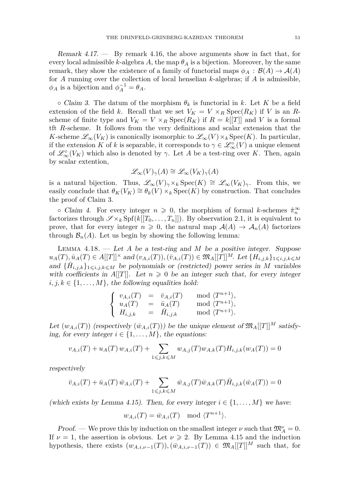Remark 4.17. — By remark [4.16,](#page-22-2) the above arguments show in fact that, for every local admissible  $k$ -algebra  $A$ , the map  $\theta_A$  is a bijection. Moreover, by the same remark, they show the existence of a family of functorial maps  $\phi_A : \mathcal{B}(A) \to \mathcal{A}(A)$ for *A* running over the collection of local henselian *k*-algebras; if *A* is admissible,  $\phi_A$  is a bijection and  $\phi_A^{-1} = \theta_A$ .

 $\circ$  Claim 3. The datum of the morphism  $\theta_k$  is functorial in *k*. Let *K* be a field extension of the field *k*. Recall that we set  $V_K = V \times_R \text{Spec}(R_K)$  if *V* is an *R*scheme of finite type and  $V_K = V \times_R \text{Spec}(R_K)$  if  $R = k[[T]]$  and *V* is a formal tft *R*-scheme. It follows from the very definitions and scalar extension that the *K*-scheme  $\mathscr{L}_{\infty}(V_K)$  is canonically isomorphic to  $\mathscr{L}_{\infty}(V) \times_k \text{Spec}(K)$ . In particular, if the extension *K* of *k* is separable, it corresponds to  $\gamma \in \mathcal{L}_{\infty}^{\circ}(V)$  a unique element of  $\mathscr{L}^{\circ}_{\infty}(V_K)$  which also is denoted by  $\gamma$ . Let A be a test-ring over K. Then, again by scalar extention,

$$
\mathscr{L}_{\infty}(V)_{\gamma}(A) \cong \mathscr{L}_{\infty}(V_K)_{\gamma}(A)
$$

is a natural bijection. Thus,  $\mathscr{L}_{\infty}(V)_{\gamma} \times k \operatorname{Spec}(K) \cong \mathscr{L}_{\infty}(V_K)_{\gamma}$ . From this, we easily conclude that  $\theta_K(V_K) \cong \theta_k(V) \times_k \text{Spec}(K)$  by construction. That concludes the proof of Claim 3.

• Claim 4. For every integer  $n \geq 0$ , the morphism of formal *k*-schemes  $\hat{\pi}_n^{\infty}$ factorizes through  $\mathscr{S} \times_k \mathrm{Spf}(k[[T_0, \ldots, T_n]])$ . By observation [2.1,](#page-5-0) it is equivalent to prove, that for every integer  $n \geq 0$ , the natural map  $\mathcal{A}(A) \to \mathcal{A}_n(A)$  factorizes through  $\mathcal{B}_n(A)$ . Let us begin by showing the following lemma:

<span id="page-23-0"></span>Lemma 4.18. — Let *A* be a test-ring and *M* be a positive integer. Suppose  $u_A(T), \bar{u}_A(T) \in A[[T]]^{\times}$  and  $(v_{A,i}(T)), (\bar{v}_{A,i}(T)) \in \mathfrak{M}_A[[T]]^M$ . Let  $\{H_{i,j,k}\}_{1 \leq i,j,k \leq M}$ and  ${\{\bar{H}_{i,j,k}\}}_{1\leqslant i,j,k\leqslant M}$  be polynomials or (restricted) power series in *M* variables with coefficients in  $A[[T]]$ . Let  $n \geq 0$  be an integer such that, for every integer  $i, j, k \in \{1, \ldots, M\}$ , the following equalities hold:

$$
\left\{\begin{array}{rcl} v_{A,i}(T) &=& \bar{v}_{A,i}(T) & \mod \langle T^{n+1} \rangle, \\ u_A(T) &=& \bar{u}_A(T) & \mod \langle T^{n+1} \rangle, \\ H_{i,j,k} &=& \bar{H}_{i,j,k} & \mod \langle T^{n+1} \rangle. \end{array}\right.
$$

Let  $(w_{A,i}(T))$  (respectively  $(\bar{w}_{A,i}(T))$ ) be the unique element of  $\mathfrak{M}_{A}[[T]]^{M}$  satisfying, for every integer  $i \in \{1, \ldots, M\}$ , the equations:

$$
v_{A,i}(T) + u_A(T) w_{A,i}(T) + \sum_{1 \le j,k \le M} w_{A,j}(T) w_{A,k}(T) H_{i,j,k}(w_A(T)) = 0
$$

respectively

$$
\bar{v}_{A,i}(T) + \bar{u}_A(T)\,\bar{w}_{A,i}(T) + \sum_{1 \leq j,k \leq M} \bar{w}_{A,j}(T)\bar{w}_{A,k}(T)\bar{H}_{i,j,k}(\bar{w}_A(T)) = 0
$$

(which exists by Lemma [4.15\)](#page-22-0). Then, for every integer  $i \in \{1, \ldots, M\}$  we have:

$$
w_{A,i}(T) = \bar{w}_{A,i}(T) \mod \langle T^{n+1} \rangle.
$$

*Proof.* — We prove this by induction on the smallest integer  $\nu$  such that  $\mathfrak{M}^{\nu}_{A} = 0$ . If  $\nu = 1$ , the assertion is obvious. Let  $\nu \geq 2$ . By Lemma [4.15](#page-22-0) and the induction hypothesis, there exists  $(w_{A,i,\nu-1}(T)), (\bar{w}_{A,i,\nu-1}(T)) \in \mathfrak{M}_A[[T]]^M$  such that, for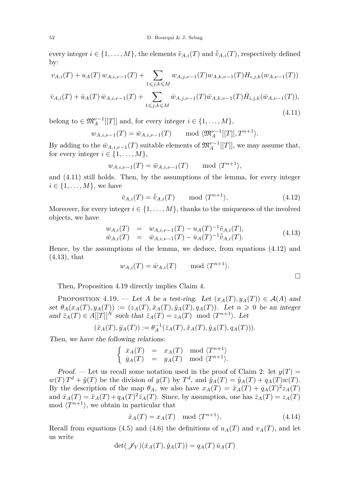every integer  $i \in \{1, ..., M\}$ , the elements  $\tilde{v}_{A,i}(T)$  and  $\overline{\tilde{v}}_{A,i}(T)$ , respectively defined by:

$$
v_{A,i}(T) + u_A(T) w_{A,i,\nu-1}(T) + \sum_{1 \leq j,k \leq M} w_{A,j,\nu-1}(T) w_{A,k,\nu-1}(T) H_{i,j,k}(w_{A,\nu-1}(T))
$$

<span id="page-24-0"></span>
$$
\bar{v}_{A,i}(T) + \bar{u}_A(T)\,\bar{w}_{A,i,\nu-1}(T) + \sum_{1 \leq j,k \leq M} \bar{w}_{A,j,\nu-1}(T)\bar{w}_{A,k,\nu-1}(T)\bar{H}_{i,j,k}(\bar{w}_{A,\nu-1}(T)),\tag{4.11}
$$

belong to  $\in \mathfrak{M}_{A}^{\nu-1}[[T]]$  and, for every integer  $i \in \{1, ..., M\}$ ,

$$
w_{A,i,\nu-1}(T) = \bar{w}_{A,i,\nu-1}(T)
$$
 mod  $\langle \mathfrak{M}_A^{\nu-1}[[T]], T^{n+1} \rangle$ .

By adding to the  $\bar{w}_{A,i,\nu-1}(T)$  suitable elements of  $\mathfrak{M}_A^{\nu-1}[[T]]$ , we may assume that, for every integer  $i \in \{1, \ldots, M\},\$ 

$$
w_{A,i,\nu-1}(T) = \bar{w}_{A,i,\nu-1}(T) \quad \text{mod } \langle T^{n+1} \rangle,
$$

and [\(4.11\)](#page-24-0) still holds. Then, by the assumptions of the lemma, for every integer  $i \in \{1, \ldots, M\}$ , we have

<span id="page-24-1"></span>
$$
\tilde{v}_{A,i}(T) = \bar{\tilde{v}}_{A,i}(T) \qquad \text{mod } \langle T^{n+1} \rangle. \tag{4.12}
$$

Moreover, for every integer  $i \in \{1, \ldots, M\}$ , thanks to the uniqueness of the involved objects, we have

<span id="page-24-2"></span>
$$
w_{A,i}(T) = w_{A,i,\nu-1}(T) - u_A(T)^{-1} \tilde{v}_{A,i}(T), \n\bar{w}_{A,i}(T) = \bar{w}_{A,i,\nu-1}(T) - \bar{u}_A(T)^{-1} \tilde{v}_{A,i}(T).
$$
\n(4.13)

Hence, by the assumptions of the lemma, we deduce, from equations [\(4.12\)](#page-24-1) and [\(4.13\)](#page-24-2), that

$$
w_{A,i}(T) = \bar{w}_{A,i}(T) \qquad \text{mod } \langle T^{n+1} \rangle.
$$

Then, Proposition [4.19](#page-24-3) directly implies Claim 4.

<span id="page-24-3"></span>PROPOSITION 4.19. — Let *A* be a test-ring. Let  $(x_A(T), y_A(T)) \in \mathcal{A}(A)$  and set  $\theta_A(x_A(T), y_A(T)) := (z_A(T), \tilde{x}_A(T), \tilde{y}_A(T), q_A(T))$ . Let  $n \geq 0$  be an integer and  $\bar{z}_A(T) \in A[[T]]^N$  such that  $\bar{z}_A(T) = z_A(T) \mod \langle T^{n+1} \rangle$ . Let

$$
(\bar{x}_A(T), \bar{y}_A(T)) := \theta_A^{-1}(\bar{z}_A(T), \tilde{x}_A(T), \tilde{y}_A(T), q_A(T))).
$$

Then, we have the following relations:

$$
\left\{ \begin{array}{rcl} \bar{x}_A(T) & = & x_A(T) \mod \langle T^{n+1} \rangle \\ \bar{y}_A(T) & = & y_A(T) \mod \langle T^{n+1} \rangle. \end{array} \right.
$$

Proof. — Let us recall some notation used in the proof of Claim 2: let  $y(T) =$  $w(T) T<sup>d</sup> + \tilde{y}(T)$  be the division of  $y(T)$  by  $T<sup>d</sup>$ , and  $\hat{y}_A(T) = \tilde{y}_A(T) + q_A(T)w(T)$ . By the description of the map  $\theta_A$ , we also have  $x_A(T) = \tilde{x}_A(T) + q_A(T)^2 z_A(T)$ and  $\bar{x}_A(T) = \tilde{x}_A(T) + q_A(T)^2 \bar{z}_A(T)$ . Since, by assumption, one has  $\bar{z}_A(T) = z_A(T)$ mod  $\langle T^{n+1} \rangle$ , we obtain in particular that

<span id="page-24-4"></span>
$$
\bar{x}_A(T) = x_A(T) \mod \langle T^{n+1} \rangle. \tag{4.14}
$$

Recall from equations [\(4.5\)](#page-21-0) and [\(4.6\)](#page-21-1) the definitions of  $u_A(T)$  and  $v_A(T)$ , and let us write

$$
\det(\mathscr{J}_V)(\bar{x}_A(T), \hat{y}_A(T)) = q_A(T)\bar{u}_A(T)
$$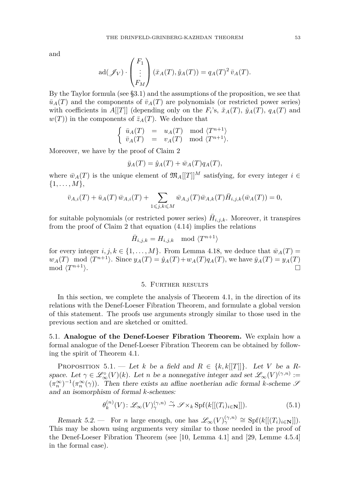and

$$
ad(\mathscr{J}_V) \cdot \begin{pmatrix} F_1 \\ \vdots \\ F_M \end{pmatrix} (\bar{x}_A(T), \hat{y}_A(T)) = q_A(T)^2 \bar{v}_A(T).
$$

By the Taylor formula (see [§3.1\)](#page-12-2) and the assumptions of the proposition, we see that  $\bar{u}_A(T)$  and the components of  $\bar{v}_A(T)$  are polynomials (or restricted power series) with coefficients in  $A[[T]]$  (depending only on the  $F_i$ 's,  $\tilde{x}_A(T)$ ,  $\tilde{y}_A(T)$ ,  $q_A(T)$  and  $w(T)$  in the components of  $\bar{z}_A(T)$ . We deduce that

$$
\begin{cases} \bar{u}_A(T) = u_A(T) \mod \langle T^{n+1} \rangle \\ \bar{v}_A(T) = v_A(T) \mod \langle T^{n+1} \rangle. \end{cases}
$$

Moreover, we have by the proof of Claim 2

$$
\bar{y}_A(T) = \hat{y}_A(T) + \bar{w}_A(T)q_A(T),
$$

where  $\bar{w}_A(T)$  is the unique element of  $\mathfrak{M}_A[[T]]^M$  satisfying, for every integer  $i \in$  $\{1, \ldots, M\},\$ 

$$
\bar{v}_{A,i}(T) + \bar{u}_A(T)\,\bar{w}_{A,i}(T) + \sum_{1 \leq j,k \leq M} \bar{w}_{A,j}(T)\bar{w}_{A,k}(T)\bar{H}_{i,j,k}(\bar{w}_A(T)) = 0,
$$

for suitable polynomials (or restricted power series)  $\bar{H}_{i,j,k}$ . Moreover, it transpires from the proof of Claim 2 that equation [\(4.14\)](#page-24-4) implies the relations

$$
\bar{H}_{i,j,k} = H_{i,j,k} \mod \langle T^{n+1} \rangle
$$

for every integer  $i, j, k \in \{1, ..., M\}$ . From Lemma [4.18,](#page-23-0) we deduce that  $\bar{w}_A(T)$  $w_A(T) \mod \langle T^{n+1} \rangle$ . Since  $y_A(T) = \hat{y}_A(T) + w_A(T)q_A(T)$ , we have  $\bar{y}_A(T) = y_A(T)$ mod  $\langle T^{n+1} \rangle$ .  $n+1$ .

#### 5. Further results

In this section, we complete the analysis of Theorem [4.1,](#page-13-0) in the direction of its relations with the Denef-Loeser Fibration Theorem, and formulate a global version of this statement. The proofs use arguments strongly similar to those used in the previous section and are sketched or omitted.

<span id="page-25-0"></span>5.1. **Analogue of the Denef-Loeser Fibration Theorem.** We explain how a formal analogue of the Denef-Loeser Fibration Theorem can be obtained by following the spirit of Theorem [4.1.](#page-13-0)

<span id="page-25-1"></span>PROPOSITION 5.1. — Let *k* be a field and  $R \in \{k, k[[T]]\}$ . Let *V* be a *R*space. Let  $\gamma \in \mathcal{L}_{\infty}^{\circ}(V)(k)$ . Let *n* be a nonnegative integer and set  $\mathcal{L}_{\infty}(V)^{(\gamma,n)} :=$  $(\pi_n^{\infty})^{-1}(\pi_n^{\infty}(\gamma))$ . Then there exists an affine noetherian adic formal *k*-scheme S and an isomorphism of formal *k*-schemes:

$$
\theta_k^{(n)}(V) : \mathscr{L}_\infty(V)_{\gamma}^{(\gamma, n)} \xrightarrow{\sim} \mathscr{S} \times_k \text{Spf}(k[[(T_i)_{i \in \mathbf{N}}]]). \tag{5.1}
$$

Remark 5.2. — For *n* large enough, one has  $\mathscr{L}_{\infty}(V)^{(\gamma,n)}_{\gamma} \cong \mathrm{Spf}(k[[(T_i)_{i\in \mathbf{N}}]]).$ This may be shown using arguments very similar to those needed in the proof of the Denef-Loeser Fibration Theorem (see [\[10,](#page-35-20) Lemma 4.1] and [\[29,](#page-35-7) Lemme 4.5.4] in the formal case).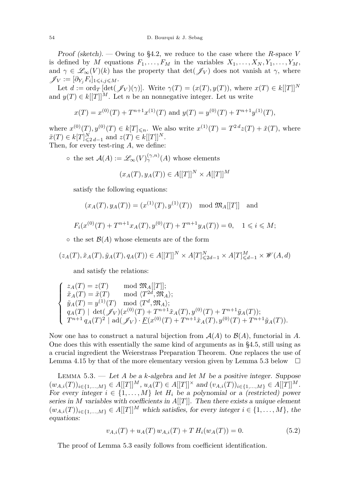Proof (sketch). — Owing to [§4.2,](#page-16-0) we reduce to the case where the *R*-space *V* is defined by *M* equations  $F_1, \ldots, F_M$  in the variables  $X_1, \ldots, X_N, Y_1, \ldots, Y_M$ , and  $\gamma \in \mathcal{L}_{\infty}(V)(k)$  has the property that  $\det(\mathcal{J}_V)$  does not vanish at  $\gamma$ , where  $\mathscr{J}_V := [\partial_{Y_j} F_i]_{1 \leqslant i,j \leqslant M}.$ 

Let  $d := \text{ord}_T \left[ \det(\mathscr{J}_V)(\gamma) \right]$ . Write  $\gamma(T) = (x(T), y(T))$ , where  $x(T) \in k[[T]]^N$ and  $y(T) \in k[[T]]^M$ . Let *n* be an nonnegative integer. Let us write

$$
x(T) = x^{(0)}(T) + T^{n+1}x^{(1)}(T)
$$
 and  $y(T) = y^{(0)}(T) + T^{n+1}y^{(1)}(T)$ ,

where  $x^{(0)}(T), y^{(0)}(T) \in k[T]_{\leq n}$ . We also write  $x^{(1)}(T) = T^{2d}z(T) + \tilde{x}(T)$ , where  $\tilde{x}(T) \in k[T]_{\leq 2d-1}^N$  and  $z(T) \in k[[T]]^N$ . Then, for every test-ring *A*, we define:

 $\circ$  the set  $\mathcal{A}(A) := \mathscr{L}_{\infty}(V)_{\gamma}^{(\gamma,n)}(A)$  whose elements

$$
(x_A(T), y_A(T)) \in A[[T]]^N \times A[[T]]^M
$$

satisfy the following equations:

$$
(x_A(T), y_A(T)) = (x^{(1)}(T), y^{(1)}(T)) \mod \mathfrak{M}_A[[T]]
$$
 and

$$
F_i(x^{(0)}(T) + T^{n+1}x_A(T), y^{(0)}(T) + T^{n+1}y_A(T)) = 0, \quad 1 \le i \le M;
$$

 $\circ$  the set  $\mathcal{B}(A)$  whose elements are of the form

$$
(z_A(T), \tilde{x}_A(T), \tilde{y}_A(T), q_A(T)) \in A[[T]]^N \times A[T]^N_{\leq 2d-1} \times A[T]^M_{\leq d-1} \times \mathscr{W}(A, d)
$$

and satisfy the relations:

$$
\left\{\begin{array}{ll} z_A(T)=z(T) & \mod \mathfrak{M}_A[[T]]; \\ \tilde{x}_A(T)=\tilde{x}(T) & \mod \langle T^{2d},\mathfrak{M}_A\rangle; \\ \tilde{y}_A(T)=y^{(1)}(T) & \mod \langle T^d,\mathfrak{M}_A\rangle; \\ q_A(T) \mid \det(\mathscr{J}_V)(x^{(0)}(T)+T^{n+1}\tilde{x}_A(T),y^{(0)}(T)+T^{n+1}\tilde{y}_A(T)); \\ T^{n+1}\,q_A(T)^2 \mid \mathrm{ad}(\mathscr{J}_V)\cdot\underline{F}(x^{(0)}(T)+T^{n+1}\tilde{x}_A(T),y^{(0)}(T)+T^{n+1}\tilde{y}_A(T)). \end{array}\right.
$$

Now one has to construct a natural bijection from  $\mathcal{A}(A)$  to  $\mathcal{B}(A)$ , functorial in A. One does this with essentially the same kind of arguments as in [§4.5,](#page-19-0) still using as a crucial ingredient the Weierstrass Preparation Theorem. One replaces the use of Lemma [4.15](#page-22-0) by that of the more elementary version given by Lemma [5.3](#page-26-0) below  $\Box$ 

<span id="page-26-0"></span>Lemma 5.3. — Let *A* be a *k*-algebra and let *M* be a positive integer. Suppose  $(w_{A,i}(T))_{i\in\{1,\ldots,M\}}\in A[[T]]^M$ ,  $u_A(T)\in A[[T]]^{\times}$  and  $(v_{A,i}(T))_{i\in\{1,\ldots,M\}}\in A[[T]]^M$ . For every integer  $i \in \{1, ..., M\}$  let  $H_i$  be a polynomial or a (restricted) power series in *M* variables with coefficients in *A*[[*T*]]. Then there exists a unique element  $(w_{A,i}(T))_{i\in\{1,\ldots,M\}}\in A[[T]]^M$  which satisfies, for every integer  $i\in\{1,\ldots,M\}$ , the equations:

$$
v_{A,i}(T) + u_A(T) w_{A,i}(T) + T H_i(w_A(T)) = 0.
$$
\n(5.2)

The proof of Lemma [5.3](#page-26-0) easily follows from coefficient identification.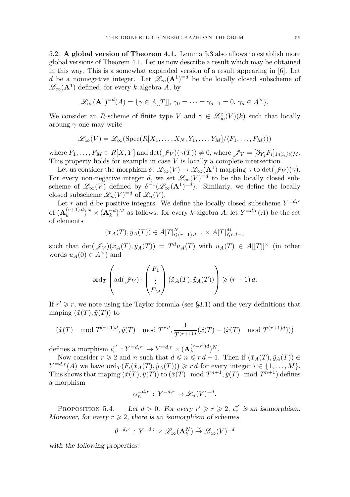<span id="page-27-0"></span>5.2. **A global version of Theorem [4.1.](#page-13-0)** Lemma [5.3](#page-26-0) also allows to establish more global versions of Theorem [4.1.](#page-13-0) Let us now describe a result which may be obtained in this way. This is a somewhat expanded version of a result appearing in [\[6\]](#page-35-4). Let *d* be a nonnegative integer. Let  $\mathscr{L}_{\infty}(\mathbf{A}^1)^{=d}$  be the locally closed subscheme of  $\mathscr{L}_{\infty}(\mathbf{A}^1)$  defined, for every *k*-algebra *A*, by

$$
\mathscr{L}_{\infty}(\mathbf{A}^1)^{=d}(A) = \{ \gamma \in A[[T]], \gamma_0 = \cdots = \gamma_{d-1} = 0, \gamma_d \in A^{\times} \}.
$$

We consider an *R*-scheme of finite type *V* and  $\gamma \in \mathcal{L}_{\infty}^{\circ}(V)(k)$  such that locally aroung *γ* one may write

$$
\mathscr{L}_{\infty}(V) = \mathscr{L}_{\infty}(\operatorname{Spec}(R[X_1,\ldots,X_N,Y_1,\ldots,Y_M]/\langle F_1,\ldots,F_M\rangle))
$$

where  $F_1, \ldots, F_M \in R[\underline{X}, \underline{Y}]$  and  $\det(\mathscr{J}_V)(\gamma(T)) \neq 0$ , where  $\mathscr{J}_V = [\partial_{Y_j} F_i]_{1 \leq i, j \leq M}$ . This property holds for example in case *V* is locally a complete intersection.

Let us consider the morphism  $\delta \colon \mathscr{L}_{\infty}(V) \to \mathscr{L}_{\infty}(\mathbf{A}^1)$  mapping  $\gamma$  to  $\det(\mathscr{J}_V)(\gamma)$ . For every non-negative integer *d*, we set  $\mathscr{L}_{\infty}(V)^{=d}$  to be the locally closed subscheme of  $\mathscr{L}_{\infty}(V)$  defined by  $\delta^{-1}(\mathscr{L}_{\infty}(\mathbf{A}^1)^{=d})$ . Similarly, we define the locally closed subscheme  $\mathscr{L}_n(V)^{=d}$  of  $\mathscr{L}_n(V)$ .

Let *r* and *d* be positive integers. We define the locally closed subscheme  $Y=d,r$ of  $(\mathbf{A}_k^{(r+1)\,d})$  $(k+1)d$   $\geq N$  ×  $(\mathbf{A}_k^{r}d)^M$  as follows: for every *k*-algebra *A*, let  $Y=0, r(A)$  be the set of elements

$$
(\tilde{x}_A(T), \tilde{y}_A(T)) \in A[T]^N_{\leq (r+1) d-1} \times A[T]^M_{\leq r d-1}
$$

such that  $\det(\mathscr{J}_V)(\tilde{x}_A(T), \tilde{y}_A(T)) = T^d u_A(T)$  with  $u_A(T) \in A[[T]]^\times$  (in other words  $u_A(0) \in A^{\times}$  and

$$
\operatorname{ord}_T\left(\operatorname{ad}(\mathscr{J}_V)\cdot\left(\begin{matrix}F_1\\ \vdots\\ F_M\end{matrix}\right)(\tilde{x}_A(T),\tilde{y}_A(T))\right)\geqslant (r+1)\,d.
$$

If  $r' \geq r$ , we note using the Taylor formula (see [§3.1\)](#page-12-2) and the very definitions that maping  $(\tilde{x}(T), \tilde{y}(T))$  to

$$
(\tilde{x}(T) \mod T^{(r+1)d}, \tilde{y}(T) \mod T^{r d}, \frac{1}{T^{(r+1)d}}(\tilde{x}(T) - (\tilde{x}(T) \mod T^{(r+1)d})))
$$

defines a morphism  $\iota_r^{r'} : Y^{=d,r'} \to Y^{=d,r} \times (\mathbf{A}_k^{(r-r')d})$  $\binom{(r-r')d}{k}$ <sup>N</sup>.

Now consider  $r \geq 2$  and *n* such that  $d \leqslant n \leqslant r d - 1$ . Then if  $(\tilde{x}_A(T), \tilde{y}_A(T)) \in$  $Y = d, r(A)$  we have  $\text{ord}_T(F_i(\tilde{x}_A(T), \tilde{y}_A(T))) \geq r d$  for every integer  $i \in \{1, ..., M\}.$ This shows that maping  $(\tilde{x}(T), \tilde{y}(T))$  to  $(\tilde{x}(T) \mod T^{n+1}, \tilde{y}(T) \mod T^{n+1})$  defines a morphism

$$
\alpha_n^{=d,r} : Y^{=d,r} \to \mathscr{L}_n(V)^{=d}.
$$

<span id="page-27-1"></span>PROPOSITION 5.4. — Let  $d > 0$ . For every  $r' \ge r \ge 2$ ,  $\iota_r^{r'}$  is an isomorphism. Moreover, for every  $r \geq 2$ , there is an isomorphism of schemes

$$
\theta^{=d,r}\,:\, Y^{=d,r} \times \mathscr{L}_\infty(\mathbf{A}^N_k) \stackrel{\sim}{\to} \mathscr{L}_\infty(V)^{=d}
$$

with the following properties: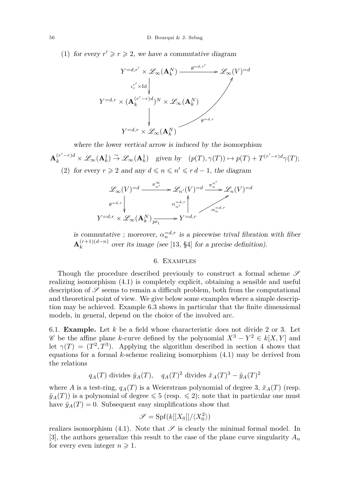(1) for every  $r' \geq r \geq 2$ , we have a commutative diagram



where the lower vertical arrow is induced by the isomorphism

$$
\mathbf{A}_k^{(r'-r)d} \times \mathcal{L}_{\infty}(\mathbf{A}_k^1) \stackrel{\sim}{\to} \mathcal{L}_{\infty}(\mathbf{A}_k^1) \quad \text{given by} \quad (p(T), \gamma(T)) \mapsto p(T) + T^{(r'-r)d} \gamma(T);
$$
\n(2) for every  $r > 2$  and any  $d \leq r \leq r$ ,  $d - 1$ , the diagram

(2) for every  $r \ge 2$  and any  $d \le n \le n' \le r d - 1$ , the diagram

$$
\mathcal{L}_{\infty}(V)^{=d} \xrightarrow{\pi_{n'}^{\infty}} \mathcal{L}_{n'}(V)^{=d} \xrightarrow{\pi_{n'}^{\pi'}} \mathcal{L}_{n}(V)^{=d}
$$
\n
$$
\phi^{=d,r} \downarrow \qquad \alpha_{n'}^{=d,r} \downarrow \qquad \alpha_{n}^{=d,r}
$$
\n
$$
Y^{=d,r} \times \mathcal{L}_{\infty}(\mathbf{A}_{k}^{N}) \xrightarrow{r} Y^{=d,r} \qquad \alpha_{n}^{=d,r}
$$

is commutative ; moreover,  $\alpha_n^{-d,r}$  is a piecewise trival fibration with fiber  $\mathbf{A}_k^{(r+1)(d-n)}$  $\binom{r+1}{k}$  over its image (see [\[13,](#page-35-25) §4] for a precise definition).

### 6. Examples

<span id="page-28-0"></span>Though the procedure described previously to construct a formal scheme  $\mathscr S$ realizing isomorphism [\(4.1\)](#page-13-2) is completely explicit, obtaining a sensible and useful description of  $\mathscr S$  seems to remain a difficult problem, both from the computational and theoretical point of view. We give below some examples where a simple description may be achieved. Example [6.3](#page-29-0) shows in particular that the finite dimensional models, in general, depend on the choice of the involved arc.

6.1. **Example.** Let *k* be a field whose characteristic does not divide 2 or 3. Let  $\mathscr{C}$  be the affine plane *k*-curve defined by the polynomial  $X^3 - Y^2 \in k[X, Y]$  and let  $\gamma(T) = (T^2, T^3)$ . Applying the algorithm described in section [4](#page-13-1) shows that equations for a formal *k*-scheme realizing isomorphism [\(4.1\)](#page-13-2) may be derived from the relations

$$
q_A(T)
$$
 divides  $\tilde{y}_A(T)$ ,  $q_A(T)^2$  divides  $\tilde{x}_A(T)^3 - \tilde{y}_A(T)^2$ 

where *A* is a test-ring,  $q_A(T)$  is a Weierstrass polynomial of degree 3,  $\tilde{x}_A(T)$  (resp.  $\tilde{y}_A(T)$  is a polynomial of degree  $\leq 5$  (resp.  $\leq 2$ ); note that in particular one must have  $\tilde{y}_A(T) = 0$ . Subsequent easy simplifications show that

$$
\mathscr{S} = \mathrm{Spf}(k[[X_0]]/\langle X_0^2 \rangle)
$$

realizes isomorphism [\(4.1\)](#page-13-2). Note that  $\mathscr S$  is clearly the minimal formal model. In [\[3\]](#page-35-12), the authors generalize this result to the case of the plane curve singularity  $A_n$ for every even integer  $n \geq 1$ .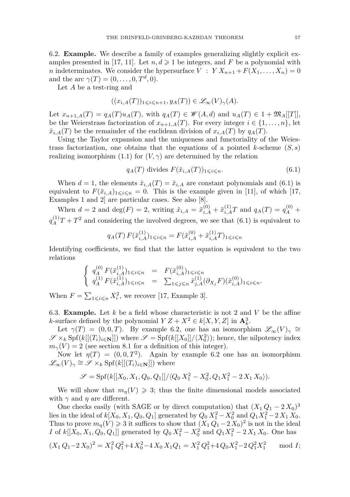<span id="page-29-2"></span>6.2. **Example.** We describe a family of examples generalizing slightly explicit ex-amples presented in [\[17,](#page-35-1) [11\]](#page-35-0). Let  $n, d \geq 1$  be integers, and *F* be a polynomial with *n* indeterminates. We consider the hypersurface  $V : Y X_{n+1} + F(X_1, \ldots, X_n) = 0$ and the arc  $\gamma(T) = (0, \ldots, 0, T^d, 0).$ 

Let *A* be a test-ring and

$$
((x_{i,A}(T))_{1\leqslant i\leqslant n+1},y_A(T))\in\mathscr{L}_{\infty}(V)_{\gamma}(A).
$$

Let  $x_{n+1,A}(T) = q_A(T)u_A(T)$ , with  $q_A(T) \in \mathcal{W}(A,d)$  and  $u_A(T) \in 1 + \mathfrak{M}_A[[T]]$ , be the Weierstrass factorization of  $x_{n+1,A}(T)$ . For every integer  $i \in \{1, \ldots, n\}$ , let  $\tilde{x}_{i,A}(T)$  be the remainder of the euclidean division of  $x_{i,A}(T)$  by  $q_A(T)$ .

Using the Taylor expansion and the uniqueness and functoriality of the Weiestrass factorization, one obtains that the equations of a pointed *k*-scheme  $(S, s)$ realizing isomorphism [\(1.1\)](#page-1-3) for  $(V, \gamma)$  are determined by the relation

<span id="page-29-1"></span>
$$
q_A(T) \text{ divides } F(\tilde{x}_{i,A}(T))_{1 \leqslant i \leqslant n}.\tag{6.1}
$$

When  $d = 1$ , the elements  $\tilde{x}_{i,A}(T) = \tilde{x}_{i,A}$  are constant polynomials and [\(6.1\)](#page-29-1) is equivalent to  $F(\tilde{x}_{i,A})_{1\leq i\leq n} = 0$ . This is the example given in [\[11\]](#page-35-0), of which [\[17,](#page-35-1) Examples 1 and 2] are particular cases. See also [\[8\]](#page-35-2).

When  $d = 2$  and  $\deg(F) = 2$ , writing  $\tilde{x}_{i,A} = \tilde{x}_{i,A}^{(0)} + \tilde{x}_{i,A}^{(1)}T$  and  $q_A(T) = q_A^{(0)} +$  $q_A^{(1)}T + T^2$  and considering the involved degrees, we see that [\(6.1\)](#page-29-1) is equivalent to

$$
q_A(T) F(\tilde{x}_{i,A}^{(1)})_{1 \le i \le n} = F(\tilde{x}_{i,A}^{(0)} + \tilde{x}_{i,A}^{(1)}T)_{1 \le i \le n}
$$

Identifying coefficients, we find that the latter equation is equivalent to the two relations

$$
\begin{cases}\n q_A^{(0)} F(\tilde{x}_{i,A}^{(1)})_{1 \leqslant i \leqslant n} = F(\tilde{x}_{i,A}^{(0)})_{1 \leqslant i \leqslant n} \\
 q_A^{(1)} F(\tilde{x}_{i,A}^{(1)})_{1 \leqslant i \leqslant n} = \sum_{1 \leqslant j \leqslant n} \tilde{x}_{j,A}^{(1)}(\partial_{X_j} F)(\tilde{x}_{i,A}^{(0)})_{1 \leqslant i \leqslant n}.\n\end{cases}
$$

When  $F = \sum_{1 \leq i \leq n} X_i^2$ , we recover [\[17,](#page-35-1) Example 3].

<span id="page-29-0"></span>6.3. **Example.** Let *k* be a field whose characteristic is not 2 and *V* be the affine *k*-surface defined by the polynomial  $Y Z + X^2 \in k[X, Y, Z]$  in  $\mathbf{A}_k^3$ .

Let  $\gamma(T) = (0,0,T)$ . By example [6.2,](#page-29-2) one has an isomorphism  $\mathscr{L}_{\infty}(V)_{\gamma} \cong$  $\mathscr{S} \times_k \text{Spf}(k[[(T_i)_{i \in \mathbf{N}}]])$  where  $\mathscr{S} = \text{Spf}(k[[X_0]]/\langle X_0^2 \rangle)$ ; hence, the nilpotency index  $m<sub>\gamma</sub>(V) = 2$  (see section 8.1 for a definition of this integer).

Now let  $\eta(T) = (0, 0, T^2)$ . Again by example [6.2](#page-29-2) one has an isomorphism  $\mathscr{L}_{\infty}(V)_{\gamma} \cong \mathscr{S} \times_k \mathrm{Spf}(k[[(T_i)_{i \in \mathbf{N}}]])$  where

$$
\mathscr{S} = Spf(k[[X_0, X_1, Q_0, Q_1]] / \langle Q_0 X_1^2 - X_0^2, Q_1 X_1^2 - 2 X_1 X_0 \rangle).
$$

We will show that  $m_n(V) \geq 3$ ; thus the finite dimensional models associated with  $\gamma$  and  $\eta$  are different.

One checks easily (with SAGE or by direct computation) that  $(X_1 Q_1 - 2 X_0)^3$ lies in the ideal of  $k[X_0, X_1, Q_0, Q_1]$  generated by  $Q_0 X_1^2 - X_0^2$  and  $Q_1 X_1^2 - 2 X_1 X_0$ . Thus to prove  $m_{\eta}(V) \geq 3$  it suffices to show that  $(X_1 Q_1 - 2 X_0)^2$  is not in the ideal *I* of  $k[[X_0, X_1, Q_0, Q_1]]$  generated by  $Q_0 X_1^2 - X_0^2$  and  $Q_1 X_1^2 - 2 X_1 X_0$ . One has

$$
(X_1 Q_1 - 2 X_0)^2 = X_1^2 Q_1^2 + 4 X_0^2 - 4 X_0 X_1 Q_1 = X_1^2 Q_1^2 + 4 Q_0 X_1^2 - 2 Q_1^2 X_1^2 \mod I;
$$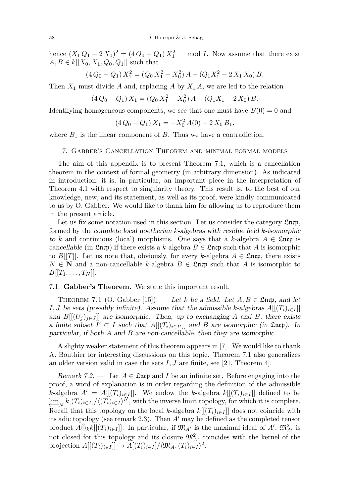hence  $(X_1 Q_1 - 2 X_0)^2 = (4 Q_0 - Q_1) X_1^2$ mod *I*. Now assume that there exist *A*, *B* ∈ *k*[[*X*<sub>0</sub>, *X*<sub>1</sub>, *Q*<sub>0</sub>, *Q*<sub>1</sub>]] such that

$$
(4Q_0 - Q_1) X_1^2 = (Q_0 X_1^2 - X_0^2) A + (Q_1 X_1^2 - 2 X_1 X_0) B.
$$

Then  $X_1$  must divide A and, replacing A by  $X_1$  A, we are led to the relation

$$
(4 Q_0 - Q_1) X_1 = (Q_0 X_1^2 - X_0^2) A + (Q_1 X_1 - 2 X_0) B.
$$

Identifying homogeneous components, we see that one must have  $B(0) = 0$  and

$$
(4 Q_0 - Q_1) X_1 = -X_0^2 A(0) - 2 X_0 B_1.
$$

where  $B_1$  is the linear component of  $B$ . Thus we have a contradiction.

### <span id="page-30-0"></span>7. Gabber's Cancellation Theorem and minimal formal models

The aim of this appendix is to present Theorem [7.1,](#page-30-1) which is a cancellation theorem in the context of formal geometry (in arbitrary dimension). As indicated in introduction, it is, in particular, an important piece in the interpretation of Theorem [4.1](#page-13-0) with respect to singularity theory. This result is, to the best of our knowledge, new, and its statement, as well as its proof, were kindly communicated to us by O. Gabber. We would like to thank him for allowing us to reproduce them in the present article.

Let us fix some notation used in this section. Let us consider the category  $\mathfrak{L}$ ncp, formed by the complete local noetherian *k*-algebras with residue field *k*-isomorphic to *k* and continuous (local) morphisms. One says that a *k*-algebra  $A \in \mathfrak{L}$ ncp is cancellable (in  $\mathfrak{L}$ ncp) if there exists a *k*-algebra  $B \in \mathfrak{L}$ ncp such that *A* is isomorphic to *B*[[*T*]]. Let us note that, obviously, for every *k*-algebra  $A \in \mathfrak{L}$ ncp, there exists  $N \in \mathbb{N}$  and a non-cancellable *k*-algebra  $B \in \mathfrak{L}$ ncp such that *A* is isomorphic to  $B[[T_1, \ldots, T_N]].$ 

#### 7.1. **Gabber's Theorem.** We state this important result.

<span id="page-30-1"></span>THEOREM 7.1 (O. Gabber [\[15\]](#page-35-26)). — Let *k* be a field. Let  $A, B \in \mathfrak{Encp}$ , and let *I, J* be sets (possibly infinite). Assume that the admissible *k*-algebras  $A[[(T_i)_{i \in I}]]$ and  $B[[(U_j)_{j\in J}]$  are isomorphic. Then, up to exchanging *A* and *B*, there exists a finite subset  $I' \subset I$  such that  $A[[(T_i)_{i \in I'}]]$  and  $B$  are isomorphic (in  $\mathfrak{L}$ ncp). In particular, if both *A* and *B* are non-cancellable, then they are isomorphic.

A slighty weaker statement of this theorem appears in [\[7\]](#page-35-3). We would like to thank A. Bouthier for interesting discussions on this topic. Theorem [7.1](#page-30-1) also generalizes an older version valid in case the sets  $I, J$  are finite, see [\[21,](#page-35-27) Theorem 4].

Remark 7.2. — Let  $A \in \mathfrak{Incp}$  and *I* be an infinite set. Before engaging into the proof, a word of explanation is in order regarding the definition of the admissible *k*-algebra  $A' = A[[(T_i)_{i \in I}]]$ . We endow the *k*-algebra  $k[[(T_i)_{i \in I}]]$  defined to be  $\lim_{N} k[(T_i)_{i \in I}] / \langle (T_i)_{i \in I} \rangle^N$ , with the inverse limit topology, for which it is complete. Recall that this topology on the local *k*-algebra  $k[[(T_i)_{i\in I}]]$  does not coincide with its adic topology (see remark [2.3\)](#page-5-3). Then  $A'$  may be defined as the completed tensor product  $A\hat{\otimes}_kk[[(T_i)_{i\in I}]]$ . In particular, if  $\mathfrak{M}_{A'}$  is the maximal ideal of  $A'$ ,  $\mathfrak{M}_{A'}^2$  is not closed for this topology and its closure  $\mathfrak{M}_{A}^2$  coincides with the kernel of the projection  $A[[(T_i)_{i \in I}]] \to A[(T_i)_{i \in I}]/\langle \mathfrak{M}_A, (T_i)_{i \in I} \rangle^2$ .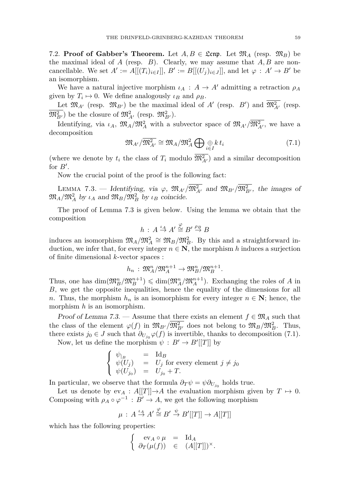7.2. **Proof of Gabber's Theorem.** Let  $A, B \in \mathfrak{Lcm}$ . Let  $\mathfrak{M}_A$  (resp.  $\mathfrak{M}_B$ ) be the maximal ideal of *A* (resp. *B*). Clearly, we may assume that *A, B* are noncancellable. We set  $A' := A[[(T_i)_{i \in I}]], B' := B[[(U_j)_{i \in J}]],$  and let  $\varphi : A' \to B'$  be an isomorphism.

We have a natural injective morphism  $\iota_A : A \to A'$  admitting a retraction  $\rho_A$ given by  $T_i \mapsto 0$ . We define analogously  $\iota_B$  and  $\rho_B$ .

Let  $\mathfrak{M}_{A'}$  (resp.  $\mathfrak{M}_{B'}$ ) be the maximal ideal of  $A'$  (resp.  $B'$ ) and  $\mathfrak{M}_{A'}^2$  (resp.  $(\mathfrak{M}_{B'}^2)$  be the closure of  $\mathfrak{M}_{A'}^2$  (resp.  $\mathfrak{M}_{B'}^2$ ).

Identifying, via  $\iota_A$ ,  $\mathfrak{M}_A/\mathfrak{M}_A^2$  with a subvector space of  $\mathfrak{M}_{A'}/\mathfrak{M}_{A'}^2$ , we have a decomposition

<span id="page-31-1"></span>
$$
\mathfrak{M}_{A'}/\overline{\mathfrak{M}_{A'}^2} \cong \mathfrak{M}_A/\mathfrak{M}_A^2 \bigoplus_{i \in I} \bigoplus_k t_i
$$
 (7.1)

(where we denote by  $t_i$  the class of  $T_i$  modulo  $\mathfrak{M}_{A'}^2$ ) and a similar decomposition for  $B'$ .

Now the crucial point of the proof is the following fact:

<span id="page-31-0"></span>LEMMA 7.3. — Identifying, via  $\varphi$ ,  $\mathfrak{M}_{A'}/\overline{\mathfrak{M}_{A'}^2}$  and  $\mathfrak{M}_{B'}/\overline{\mathfrak{M}_{B'}^2}$ , the images of  $\mathfrak{M}_A/\mathfrak{M}_A^2$  by  $\iota_A$  and  $\mathfrak{M}_B/\mathfrak{M}_B^2$  by  $\iota_B$  coincide.

The proof of Lemma [7.3](#page-31-0) is given below. Using the lemma we obtain that the composition

$$
h\,:\,A\stackrel{\iota_A}{\to} A'\stackrel{\varphi}{\cong}B'\stackrel{\rho_B}{\to}B
$$

induces an isomorphism  $\mathfrak{M}_A/\mathfrak{M}_A^2 \cong \mathfrak{M}_B/\mathfrak{M}_B^2$ . By this and a straightforward induction, we infer that, for every integer  $n \in \mathbb{N}$ , the morphism *h* induces a surjection of finite dimensional *k*-vector spaces :

$$
h_n: \mathfrak{M}_A^n/\mathfrak{M}_A^{n+1} \to \mathfrak{M}_B^n/\mathfrak{M}_B^{n+1}.
$$

Thus, one has  $\dim(\mathfrak{M}_B^n/\mathfrak{M}_B^{n+1}) \leq \dim(\mathfrak{M}_A^n/\mathfrak{M}_A^{n+1})$ . Exchanging the roles of *A* in *B*, we get the opposite inequalities, hence the equality of the dimensions for all *n*. Thus, the morphism  $h_n$  is an isomorphism for every integer  $n \in \mathbb{N}$ ; hence, the morphism *h* is an isomorphism.

Proof of Lemma [7.3.](#page-31-0) — Assume that there exists an element  $f \in \mathfrak{M}_A$  such that the class of the element  $\varphi(f)$  in  $\mathfrak{M}_{B'}/\mathfrak{M}_{B'}^2$  does not belong to  $\mathfrak{M}_B/\mathfrak{M}_{B'}^2$ . Thus, there exists  $j_0 \in J$  such that  $\partial_{U_{j_0}} \varphi(f)$  is invertible, thanks to decomposition [\(7.1\)](#page-31-1).

Now, let us define the morphism  $\psi : B' \to B'[[T]]$  by

$$
\begin{cases} \psi_{|B} & = \operatorname{Id}_B \\ \psi(U_j) & = U_j \text{ for every element } j \neq j_0 \\ \psi(U_{j_0}) & = U_{j_0} + T. \end{cases}
$$

In particular, we observe that the formula  $\partial_T \psi = \psi \partial_{U_{j_0}}$  holds true.

Let us denote by  $ev_A : A[[T]] \rightarrow A$  the evaluation morphism given by  $T \mapsto 0$ . Composing with  $\rho_A \circ \varphi^{-1} : B' \to A$ , we get the following morphism

$$
\mu\,:\,A\stackrel{\iota_A}{\to}A'\stackrel{\varphi}{\cong}B'\stackrel{\psi}{\to}B'[[T]]\to A[[T]]
$$

which has the following properties:

$$
\left\{\begin{array}{rcl} \mathrm{ev}_A\circ\mu&=&\mathrm{Id}_A\\ \partial_T(\mu(f))&\in&(A[[T]])^\times. \end{array}\right.
$$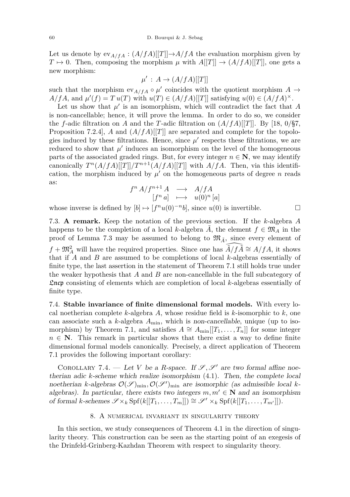Let us denote by  $ev_{A/fA} : (A/fA)[[T]] \rightarrow A/fA$  the evaluation morphism given by  $T \mapsto 0$ . Then, composing the morphism  $\mu$  with  $A[[T]] \rightarrow (A/fA)[[T]]$ , one gets a new morphism:

$$
\mu' : A \to (A/fA)[[T]]
$$

such that the morphism  $ev_{A/fA} \circ \mu'$  coincides with the quotient morphism  $A \to$  $A/fA$ , and  $\mu'(f) = T u(T)$  with  $u(T) \in (A/fA)[[T]]$  satisfying  $u(0) \in (A/fA)^{\times}$ .

Let us show that  $\mu'$  is an isomorphism, which will contradict the fact that  $A$ is non-cancellable; hence, it will prove the lemma. In order to do so, we consider the *f*-adic filtration on *A* and the *T*-adic filtration on  $(A/fA)[[T]]$ . By [\[18,](#page-35-6) 0/§7, Proposition 7.2.4], *A* and  $(A/fA)[T]$  are separated and complete for the topologies induced by these filtrations. Hence, since  $\mu'$  respects these filtrations, we are reduced to show that  $\mu'$  induces an isomorphism on the level of the homogeneous parts of the associated graded rings. But, for every integer  $n \in \mathbb{N}$ , we may identify canonically  $T^n(A/fA)[[T]]/T^{n+1}(A/fA)[[T]]$  with  $A/fA$ . Then, via this identification, the morphism induced by  $\mu'$  on the homogeneous parts of degree *n* reads as:

$$
\begin{array}{ccc} f^n \, A / f^{n+1} \, A & \longrightarrow & A / f A \\ [f^n \, a] & \longmapsto & u(0)^n \, [a] \end{array}
$$

whose inverse is defined by  $[b] \mapsto [f^n u(0)^{-n} b]$ , since  $u(0)$  is invertible.

7.3. **A remark.** Keep the notation of the previous section. If the *k*-algebra *A* happens to be the completion of a local *k*-algebra *A*, the element  $f \in \mathfrak{M}_A$  in the proof of Lemma [7.3](#page-31-0) may be assumed to belong to  $\mathfrak{M}_{\tilde{A}}$ , since every element of  $f + \mathfrak{M}_{A}^{2}$  will have the required properties. Since one has  $\widehat{\tilde{A}/f\tilde{A}} \cong A/fA$ , it shows that if *A* and *B* are assumed to be completions of local *k*-algebras essentially of finite type, the last assertion in the statement of Theorem [7.1](#page-30-1) still holds true under the weaker hypothesis that *A* and *B* are non-cancellable in the full subcategory of Lncp consisting of elements which are completion of local *k*-algebras essentially of finite type.

7.4. **Stable invariance of finite dimensional formal models.** With every local noetherian complete *k*-algebra *A*, whose residue field is *k*-isomorphic to *k*, one can associate such a  $k$ -algebra  $A_{\text{min}}$ , which is non-cancellable, unique (up to iso-morphism) by Theorem [7.1,](#page-30-1) and satisfies  $A \cong A_{\text{min}}[[T_1, \ldots, T_n]]$  for some integer  $n \in \mathbb{N}$ . This remark in particular shows that there exist a way to define finite dimensional formal models canonically. Precisely, a direct application of Theorem [7.1](#page-30-1) provides the following important corollary:

<span id="page-32-1"></span>COROLLARY 7.4. — Let *V* be a *R*-space. If  $\mathscr{S}, \mathscr{S}'$  are two formal affine noetherian adic *k*-scheme which realize isomorphism [\(4.1\)](#page-13-2). Then, the complete local noetherian *k*-algebras  $\mathcal{O}(\mathcal{S})_{\text{min}}$ ,  $\mathcal{O}(\mathcal{S}')_{\text{min}}$  are isomorphic (as admissible local *k*algebras). In particular, there exists two integers  $m, m' \in \mathbb{N}$  and an isomorphism of formal *k*-schemes  $\mathscr{S} \times_k \text{Spf}(k[[T_1,\ldots,T_m]]) \cong \mathscr{S}' \times_k \text{Spf}(k[[T_1,\ldots,T_{m'}]]).$ 

# 8. A numerical invariant in singularity theory

<span id="page-32-0"></span>In this section, we study consequences of Theorem [4.1](#page-13-0) in the direction of singularity theory. This construction can be seen as the starting point of an exegesis of the Drinfeld-Grinberg-Kazhdan Theorem with respect to singularity theory.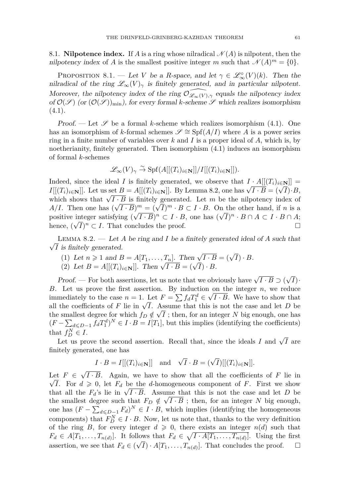8.1. **Nilpotence index.** If *A* is a ring whose nilradical  $\mathcal{N}(A)$  is nilpotent, then the nilpotency index of *A* is the smallest positive integer *m* such that  $\mathcal{N}(A)^m = \{0\}.$ 

<span id="page-33-0"></span>PROPOSITION 8.1. — Let *V* be a *R*-space, and let  $\gamma \in \mathcal{L}_{\infty}^{\circ}(V)(k)$ . Then the nilradical of the ring  $\mathscr{L}_{\infty}(V)_{\gamma}$  is finitely generated, and in particular nilpotent. Moreover, the nilpotency index of the ring  $\mathcal{O}_{\mathscr{L}_{\infty}(V),\gamma}$  equals the nilpotency index of  $\mathcal{O}(\mathcal{S})$  (or  $(\mathcal{O}(\mathcal{S}))_{\text{min}}$ ), for every formal *k*-scheme  $\mathcal{S}$  which realizes isomorphism  $(4.1).$  $(4.1).$ 

Proof. — Let  $\mathscr S$  be a formal *k*-scheme which realizes isomorphism [\(4.1\)](#page-13-2). One has an isomorphism of *k*-formal schemes  $\mathscr{S} \cong Spf(A/I)$  where *A* is a power series ring in a finite number of variables over *k* and *I* is a proper ideal of *A*, which is, by noetherianity, finitely generated. Then isomorphism [\(4.1\)](#page-13-2) induces an isomorphism of formal *k*-schemes

$$
\mathscr{L}_{\infty}(V)_{\gamma} \stackrel{\sim}{\to} \mathrm{Spf}(A[[(T_i)_{i \in \mathbf{N}}]]/I[[(T_i)_{i \in \mathbf{N}}]]).
$$

Indeed, since the ideal *I* is finitely generated, we observe that  $I \cdot A[[(T_i)_{i \in \mathbb{N}}]] =$  $I[(T_i)_{i \in \mathbb{N}}]$ . Let us set  $B = A[[(T_i)_{i \in \mathbb{N}}]]$ . By Lemma [8.2,](#page-33-1) one has  $\sqrt{I \cdot B} = (\sqrt{I}) \cdot B$ ,  $I[[(1_i)_i] \in N]$ . Let us set  $B = A[[(1_i)_i] \in N]$ . By Lemma 8.2, one has  $\sqrt{I \cdot B} = (\sqrt{I}) \cdot B$ ,<br>which shows that  $\sqrt{I \cdot B}$  is finitely generated. Let *m* be the nilpotency index of which shows that  $\sqrt{I \cdot B}$  is finitely generated. Let *m* be the nipotency moex or  $A/I$ . Then one has  $(\sqrt{I \cdot B})^m = (\sqrt{I})^m \cdot B \subset I \cdot B$ . On the other hand, if *n* is a positive integer satisfying  $(\sqrt{I \cdot B})^n \subset I \cdot B$ , one has  $(\sqrt{I})^n \cdot B \cap A \subset I \cdot B \cap A$ ; hence,  $(\sqrt{I})^n \subset I$ . That concludes the proof.

<span id="page-33-1"></span>√ Lemma 8.2. — Let *A* be ring and *I* be a finitely generated ideal of *A* such that *I* is finitely generated.

(1) Let 
$$
n \ge 1
$$
 and  $B = A[T_1, ..., T_n]$ . Then  $\sqrt{I \cdot B} = (\sqrt{I}) \cdot B$ .

(1) Let  $n \geq 1$  and  $B = A[1_1, \ldots, 1_n]$ . Then  $\sqrt{I \cdot B} = (\sqrt{I}) \cdot B$ .<br>(2) Let  $B = A[[(T_i)_{i \in \mathbb{N}}]]$ . Then  $\sqrt{I \cdot B} = (\sqrt{I}) \cdot B$ .

*Proof.* — For both assertions, let us note that we obviously have  $\sqrt{I \cdot B} \supset ($ √ *I*)· *B*. Let us prove the first assertion. By induction on the integer *n*, we reduce immediately to the case  $n = 1$ . Let  $F = \sum f_d T_1^d \in \sqrt{I \cdot B}$ . We have to show that immediately to the case  $n = 1$ . Let  $F = \sum_{i=1}^{n} J_i T_i \in \mathcal{V} \cdot D$ , we have to show that all the coefficients of *F* lie in  $\sqrt{I}$ . Assume that this is not the case and let *D* be the smallest degree for which  $f_D \notin \sqrt{I}$ ; then, for an integer *N* big enough, one has  $(F - \sum_{d \leq D-1} f_d T_1^d)^N \in I \cdot B = I[T_1]$ , but this implies (identifying the coefficients) that  $f_D^N \in I$ .

Let us prove the second assertion. Recall that, since the ideals *I* and  $\sqrt{I}$  are finitely generated, one has

$$
I \cdot B = I[[(T_i)_{i \in \mathbf{N}}]] \text{ and } \sqrt{I} \cdot B = (\sqrt{I})[[(T_i)_{i \in \mathbf{N}}]].
$$

Let *F* ∈ √ Let  $F \in \sqrt{I \cdot B}$ . Again, we have to show that all the coefficients of *F* lie in  $\sqrt{I}$ . For  $d \geq 0$ , let  $F_d$  be the *d*-homogeneous component of *F*. First we show  $\sqrt{I}$ . For  $a \ge 0$ , let  $F_d$  be the *a*-nomogeneous component of *F*. First we show that all the  $F_d$ 's lie in  $\sqrt{I \cdot B}$ . Assume that this is not the case and let *D* be the smallest degree such that  $F_D \notin \sqrt{I \cdot B}$ ; then, for an integer *N* big enough, one has  $(F - \sum_{d \le D-1} F_d)^N \in I \cdot B$ , which implies (identifying the homogeneous components) that  $F_D^N \in I \cdot B$ . Now, let us note that, thanks to the very definition of the ring *B*, for every integer  $d \geq 0$ , there exists an integer  $n(d)$  such that  $F_d \in A[T_1, \ldots, T_{n(d)}].$  It follows that  $F_d \in \sqrt{I \cdot A[T_1, \ldots, T_{n(d)}]}$ . Using the first assertion, we see that  $F_d \in (\sqrt{I}) \cdot A[T_1, \ldots, T_{n(d)}].$  That concludes the proof.  $\Box$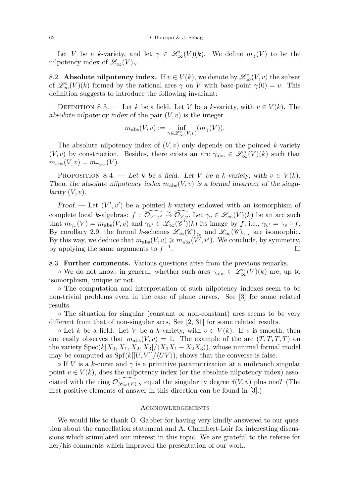Let *V* be a *k*-variety, and let  $\gamma \in \mathscr{L}_{\infty}^{\circ}(V)(k)$ . We define  $m_{\gamma}(V)$  to be the nilpotency index of  $\mathscr{L}_{\infty}(V)_{\gamma}$ .

8.2. **Absolute nilpotency index.** If  $v \in V(k)$ , we denote by  $\mathscr{L}_{\infty}^{\circ}(V, v)$  the subset of  $\mathcal{L}_{\infty}^{\circ}(V)(k)$  formed by the rational arcs  $\gamma$  on *V* with base-point  $\gamma(0) = v$ . This definition suggests to introduce the following invariant:

DEFINITION 8.3. — Let *k* be a field. Let *V* be a *k*-variety, with  $v \in V(k)$ . The absolute nilpotency index of the pair  $(V, v)$  is the integer

$$
m_{\rm abs}(V, v) := \inf_{\gamma \in \mathscr{L}^{\circ}_{\infty}(V, v)} (m_{\gamma}(V)).
$$

The absolute nilpotency index of  $(V, v)$  only depends on the pointed *k*-variety  $(V, v)$  by construction. Besides, there exists an arc  $\gamma_{\text{abs}} \in \mathscr{L}^{\circ}_{\infty}(V)(k)$  such that  $m_{\text{abs}}(V, v) = m_{\gamma_{\text{abs}}}(V).$ 

<span id="page-34-0"></span>PROPOSITION 8.4. — Let *k* be a field. Let *V* be a *k*-variety, with  $v \in V(k)$ . Then, the absolute nilpotency index  $m_{\text{abs}}(V, v)$  is a formal invariant of the singu $larity (V, v).$ 

Proof. — Let  $(V', v')$  be a pointed *k*-variety endowed with an isomorphism of complete local *k*-algebras:  $f : \widehat{\mathcal{O}_{V',v'}} \overset{\sim}{\to} \widehat{\mathcal{O}_{V,v}}$ . Let  $\gamma_v \in \mathscr{L}_{\infty}(V)(k)$  be an arc such that  $m_{\gamma_v}(V) = m_{\text{abs}}(V, v)$  and  $\gamma_{v'} \in \mathscr{L}_{\infty}(\mathscr{C}')(k)$  its image by  $f$ , i.e.,  $\gamma_{v'} = \gamma_v \circ f$ . By corollary [2.9,](#page-9-0) the formal *k*-schemes  $\mathscr{L}_{\infty}(\mathscr{C})_{\gamma_v}$  and  $\mathscr{L}_{\infty}(\mathscr{C})_{\gamma_{v'}}$  are isomorphic. By this way, we deduce that  $m_{\text{abs}}(V, v) \geqslant m_{\text{abs}}(V', v')$ . We conclude, by symmetry, by applying the same arguments to  $f^{-1}$ .

#### 8.3. **Further comments.** Various questions arise from the previous remarks.

 $\circ$  We do not know, in general, whether such arcs  $\gamma_{\text{abs}} \in \mathscr{L}^{\circ}_{\infty}(V)(k)$  are, up to isomorphism, unique or not.

◦ The computation and interpretation of such nilpotency indexes seem to be non-trivial problems even in the case of plane curves. See [\[3\]](#page-35-12) for some related results.

◦ The situation for singular (constant or non-constant) arcs seems to be very different from that of non-singular arcs. See [\[2,](#page-35-28) [31\]](#page-36-4) for some related results.

 $\circ$  Let *k* be a field. Let *V* be a *k*-variety, with  $v \in V(k)$ . If *v* is smooth, then one easily observes that  $m_{\text{abs}}(V, v) = 1$ . The example of the arc  $(T, T, T, T)$  on the variety  $Spec(k[X_0, X_1, X_2, X_3]/\langle X_0X_1 - X_2X_3 \rangle)$ , whose minimal formal model may be computed as  $Spf(k[[U, V]]/(UV))$ , shows that the converse is false.

 $\circ$  If *V* is a *k*-curve and  $\gamma$  is a primitive parametrization at a unibranch singular point  $v \in V(k)$ , does the nilpotency index (or the absolute nilpotency index) associated with the ring  $\mathcal{O}_{\mathscr{L}_{\infty}(V),\gamma}$  equal the singularity degree  $\delta(V, v)$  plus one? (The first positive elements of answer in this direction can be found in [\[3\]](#page-35-12).)

# **ACKNOWLEDGEMENTS**

We would like to thank O. Gabber for having very kindly answered to our question about the cancellation statement and A. Chambert-Loir for interesting discussions which stimulated our interest in this topic. We are grateful to the referee for her/his comments which improved the presentation of our work.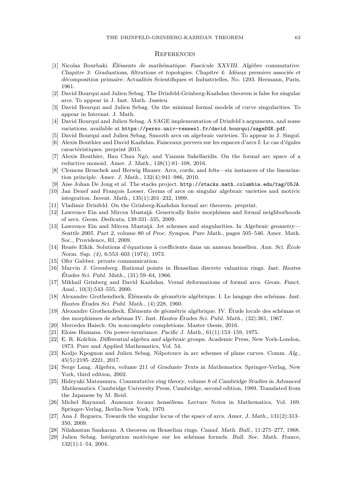#### **REFERENCES**

- <span id="page-35-17"></span>[1] Nicolas Bourbaki. Éléments de mathématique. Fascicule XXVIII. Algèbre commutative. Chapitre 3: Graduations, filtrations et topologies. Chapitre 4: Idéaux premiers associés et décomposition primaire. Actualités Scientifiques et Industrielles, No. 1293. Hermann, Paris, 1961.
- <span id="page-35-28"></span>[2] David Bourqui and Julien Sebag. The Drinfeld-Grinberg-Kazhdan theorem is false for singular arcs. To appear in J. Inst. Math. Jussieu.
- <span id="page-35-12"></span>[3] David Bourqui and Julien Sebag. On the minimal formal models of curve singularities. To appear in Internat. J. Math.
- <span id="page-35-5"></span>[4] David Bourqui and Julien Sebag. A SAGE implementation of Drinfeld's arguments, and some variations. available at <https://perso.univ-rennes1.fr/david.bourqui/sageDGK.pdf>.
- <span id="page-35-21"></span>[5] David Bourqui and Julien Sebag. Smooth arcs on algebraic varieties. To appear in J. Singul.
- <span id="page-35-4"></span>[6] Alexis Bouthier and David Kazhdan. Faisceaux pervers sur les espaces d'arcs I: Le cas d'égales caractéristiques. preprint 2015.
- <span id="page-35-3"></span>[7] Alexis Bouthier, Bau Chau Ngô, and Yiannis Sakellaridis. On the formal arc space of a reductive monoid. Amer. J. Math., 138(1):81–108, 2016.
- <span id="page-35-2"></span>[8] Clemens Bruschek and Herwig Hauser. Arcs, cords, and felts—six instances of the linearization principle. Amer. J. Math., 132(4):941–986, 2010.
- <span id="page-35-8"></span>[9] Aise Johan De Jong et al. The stacks project. <http://stacks.math.columbia.edu/tag/05JA>.
- <span id="page-35-20"></span>[10] Jan Denef and François Loeser. Germs of arcs on singular algebraic varieties and motivic integration. Invent. Math., 135(1):201–232, 1999.
- <span id="page-35-0"></span>[11] Vladimir Drinfeld. On the Grinberg-Kazhdan formal arc theorem. preprint.
- <span id="page-35-15"></span>[12] Lawrence Ein and Mircea Mustaţă. Generically finite morphisms and formal neighborhoods of arcs. Geom. Dedicata, 139:331–335, 2009.
- <span id="page-35-25"></span>[13] Lawrence Ein and Mircea Mustaţă. Jet schemes and singularities. In Algebraic geometry— Seattle 2005. Part 2, volume 80 of Proc. Sympos. Pure Math., pages 505–546. Amer. Math. Soc., Providence, RI, 2009.
- <span id="page-35-22"></span>[14] Renée Elkik. Solutions d'équations à coefficients dans un anneau hensélien. Ann. Sci. École Norm. Sup. (4), 6:553–603 (1974), 1973.
- <span id="page-35-26"></span>[15] Ofer Gabber. private communication.
- <span id="page-35-19"></span>[16] Marvin J. Greenberg. Rational points in Henselian discrete valuation rings. Inst. Hautes Études Sci. Publ. Math., (31):59–64, 1966.
- <span id="page-35-1"></span>[17] Mikhail Grinberg and David Kazhdan. Versal deformations of formal arcs. Geom. Funct. Anal., 10(3):543–555, 2000.
- <span id="page-35-6"></span>[18] Alexandre Grothendieck. Éléments de géométrie algébrique. I. Le langage des schémas. Inst. Hautes Études Sci. Publ. Math., (4):228, 1960.
- <span id="page-35-10"></span>[19] Alexandre Grothendieck. Éléments de géométrie algébrique. IV. Étude locale des schémas et des morphismes de schémas IV. Inst. Hautes Études Sci. Publ. Math., (32):361, 1967.
- <span id="page-35-9"></span>[20] Mercedes Haiech. On noncomplete completions. Master thesis, 2016.
- <span id="page-35-27"></span>[21] Eloise Hamann. On power-invariance. Pacific J. Math., 61(1):153–159, 1975.
- <span id="page-35-13"></span>[22] E. R. Kolchin. Differential algebra and algebraic groups. Academic Press, New York-London, 1973. Pure and Applied Mathematics, Vol. 54.
- <span id="page-35-16"></span>[23] Kodjo Kpognon and Julien Sebag. Nilpotence in arc schemes of plane curves. Comm. Alg., 45(5):2195–2221, 2017.
- <span id="page-35-18"></span>[24] Serge Lang. Algebra, volume 211 of Graduate Texts in Mathematics. Springer-Verlag, New York, third edition, 2002.
- <span id="page-35-14"></span>[25] Hideyuki Matsumura. Commutative ring theory, volume 8 of Cambridge Studies in Advanced Mathematics. Cambridge University Press, Cambridge, second edition, 1989. Translated from the Japanese by M. Reid.
- <span id="page-35-23"></span>[26] Michel Raynaud. Anneaux locaux henséliens. Lecture Notes in Mathematics, Vol. 169. Springer-Verlag, Berlin-New York, 1970.
- <span id="page-35-11"></span>[27] Ana J. Reguera. Towards the singular locus of the space of arcs. Amer. J. Math., 131(2):313– 350, 2009.
- <span id="page-35-24"></span>[28] Nilakantan Sankaran. A theorem on Henselian rings. Canad. Math. Bull., 11:275–277, 1968.
- <span id="page-35-7"></span>[29] Julien Sebag. Intégration motivique sur les schémas formels. Bull. Soc. Math. France, 132(1):1–54, 2004.